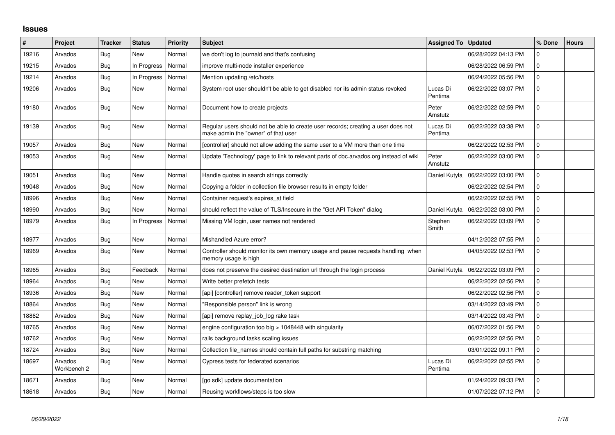## **Issues**

| $\vert$ # | Project                | <b>Tracker</b> | <b>Status</b> | Priority | <b>Subject</b>                                                                                                           | <b>Assigned To</b>  | <b>Updated</b>      | % Done         | <b>Hours</b> |
|-----------|------------------------|----------------|---------------|----------|--------------------------------------------------------------------------------------------------------------------------|---------------------|---------------------|----------------|--------------|
| 19216     | Arvados                | Bug            | <b>New</b>    | Normal   | we don't log to journald and that's confusing                                                                            |                     | 06/28/2022 04:13 PM | 0              |              |
| 19215     | Arvados                | <b>Bug</b>     | In Progress   | Normal   | improve multi-node installer experience                                                                                  |                     | 06/28/2022 06:59 PM | $\Omega$       |              |
| 19214     | Arvados                | Bug            | In Progress   | Normal   | Mention updating /etc/hosts                                                                                              |                     | 06/24/2022 05:56 PM | $\mathbf 0$    |              |
| 19206     | Arvados                | Bug            | <b>New</b>    | Normal   | System root user shouldn't be able to get disabled nor its admin status revoked                                          | Lucas Di<br>Pentima | 06/22/2022 03:07 PM | $\mathbf 0$    |              |
| 19180     | Arvados                | Bug            | New           | Normal   | Document how to create projects                                                                                          | Peter<br>Amstutz    | 06/22/2022 02:59 PM | $\overline{0}$ |              |
| 19139     | Arvados                | <b>Bug</b>     | <b>New</b>    | Normal   | Regular users should not be able to create user records; creating a user does not<br>make admin the "owner" of that user | Lucas Di<br>Pentima | 06/22/2022 03:38 PM | 0              |              |
| 19057     | Arvados                | Bug            | <b>New</b>    | Normal   | [controller] should not allow adding the same user to a VM more than one time                                            |                     | 06/22/2022 02:53 PM | $\mathbf 0$    |              |
| 19053     | Arvados                | Bug            | New           | Normal   | Update 'Technology' page to link to relevant parts of doc.arvados.org instead of wiki                                    | Peter<br>Amstutz    | 06/22/2022 03:00 PM | $\mathbf 0$    |              |
| 19051     | Arvados                | Bug            | <b>New</b>    | Normal   | Handle quotes in search strings correctly                                                                                | Daniel Kutyła       | 06/22/2022 03:00 PM | $\mathbf 0$    |              |
| 19048     | Arvados                | <b>Bug</b>     | <b>New</b>    | Normal   | Copying a folder in collection file browser results in empty folder                                                      |                     | 06/22/2022 02:54 PM | $\mathbf 0$    |              |
| 18996     | Arvados                | Bug            | <b>New</b>    | Normal   | Container request's expires_at field                                                                                     |                     | 06/22/2022 02:55 PM | 0              |              |
| 18990     | Arvados                | <b>Bug</b>     | New           | Normal   | should reflect the value of TLS/Insecure in the "Get API Token" dialog                                                   | Daniel Kutyła       | 06/22/2022 03:00 PM | $\mathbf 0$    |              |
| 18979     | Arvados                | Bug            | In Progress   | Normal   | Missing VM login, user names not rendered                                                                                | Stephen<br>Smith    | 06/22/2022 03:09 PM | $\mathbf 0$    |              |
| 18977     | Arvados                | Bug            | <b>New</b>    | Normal   | Mishandled Azure error?                                                                                                  |                     | 04/12/2022 07:55 PM | $\mathbf 0$    |              |
| 18969     | Arvados                | Bug            | New           | Normal   | Controller should monitor its own memory usage and pause requests handling when<br>memory usage is high                  |                     | 04/05/2022 02:53 PM | $\overline{0}$ |              |
| 18965     | Arvados                | Bug            | Feedback      | Normal   | does not preserve the desired destination url through the login process                                                  | Daniel Kutyła       | 06/22/2022 03:09 PM | $\overline{0}$ |              |
| 18964     | Arvados                | Bug            | <b>New</b>    | Normal   | Write better prefetch tests                                                                                              |                     | 06/22/2022 02:56 PM | $\Omega$       |              |
| 18936     | Arvados                | Bug            | <b>New</b>    | Normal   | [api] [controller] remove reader token support                                                                           |                     | 06/22/2022 02:56 PM | $\mathbf 0$    |              |
| 18864     | Arvados                | <b>Bug</b>     | <b>New</b>    | Normal   | "Responsible person" link is wrong                                                                                       |                     | 03/14/2022 03:49 PM | $\overline{0}$ |              |
| 18862     | Arvados                | <b>Bug</b>     | <b>New</b>    | Normal   | [api] remove replay job log rake task                                                                                    |                     | 03/14/2022 03:43 PM | $\mathbf 0$    |              |
| 18765     | Arvados                | <b>Bug</b>     | <b>New</b>    | Normal   | engine configuration too big $>$ 1048448 with singularity                                                                |                     | 06/07/2022 01:56 PM | $\mathbf 0$    |              |
| 18762     | Arvados                | Bug            | <b>New</b>    | Normal   | rails background tasks scaling issues                                                                                    |                     | 06/22/2022 02:56 PM | $\mathbf 0$    |              |
| 18724     | Arvados                | Bug            | <b>New</b>    | Normal   | Collection file_names should contain full paths for substring matching                                                   |                     | 03/01/2022 09:11 PM | $\mathbf 0$    |              |
| 18697     | Arvados<br>Workbench 2 | Bug            | <b>New</b>    | Normal   | Cypress tests for federated scenarios                                                                                    | Lucas Di<br>Pentima | 06/22/2022 02:55 PM | $\Omega$       |              |
| 18671     | Arvados                | Bug            | <b>New</b>    | Normal   | [go sdk] update documentation                                                                                            |                     | 01/24/2022 09:33 PM | 0              |              |
| 18618     | Arvados                | Bug            | <b>New</b>    | Normal   | Reusing workflows/steps is too slow                                                                                      |                     | 01/07/2022 07:12 PM | $\mathsf 0$    |              |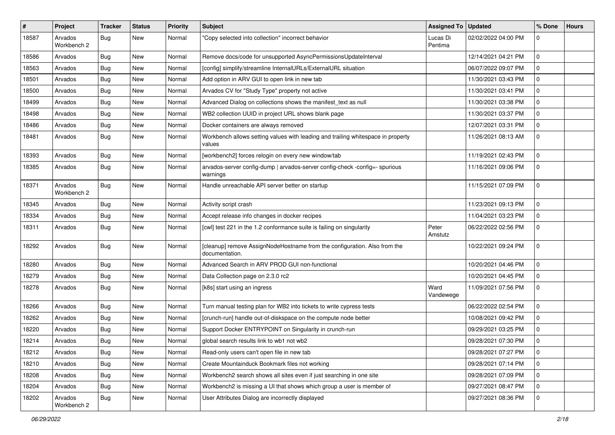| #     | Project                | <b>Tracker</b> | <b>Status</b> | <b>Priority</b> | <b>Subject</b>                                                                              | <b>Assigned To</b>  | <b>Updated</b>      | % Done      | <b>Hours</b> |
|-------|------------------------|----------------|---------------|-----------------|---------------------------------------------------------------------------------------------|---------------------|---------------------|-------------|--------------|
| 18587 | Arvados<br>Workbench 2 | <b>Bug</b>     | New           | Normal          | "Copy selected into collection" incorrect behavior                                          | Lucas Di<br>Pentima | 02/02/2022 04:00 PM | $\mathbf 0$ |              |
| 18586 | Arvados                | <b>Bug</b>     | New           | Normal          | Remove docs/code for unsupported AsyncPermissionsUpdateInterval                             |                     | 12/14/2021 04:21 PM | $\mathbf 0$ |              |
| 18563 | Arvados                | <b>Bug</b>     | New           | Normal          | [config] simplify/streamline InternalURLs/ExternalURL situation                             |                     | 06/07/2022 09:07 PM | 0           |              |
| 18501 | Arvados                | <b>Bug</b>     | <b>New</b>    | Normal          | Add option in ARV GUI to open link in new tab                                               |                     | 11/30/2021 03:43 PM | 0           |              |
| 18500 | Arvados                | <b>Bug</b>     | New           | Normal          | Arvados CV for "Study Type" property not active                                             |                     | 11/30/2021 03:41 PM | 0           |              |
| 18499 | Arvados                | <b>Bug</b>     | <b>New</b>    | Normal          | Advanced Dialog on collections shows the manifest_text as null                              |                     | 11/30/2021 03:38 PM | $\mathbf 0$ |              |
| 18498 | Arvados                | <b>Bug</b>     | New           | Normal          | WB2 collection UUID in project URL shows blank page                                         |                     | 11/30/2021 03:37 PM | 0           |              |
| 18486 | Arvados                | <b>Bug</b>     | New           | Normal          | Docker containers are always removed                                                        |                     | 12/07/2021 03:31 PM | 0           |              |
| 18481 | Arvados                | <b>Bug</b>     | <b>New</b>    | Normal          | Workbench allows setting values with leading and trailing whitespace in property<br>values  |                     | 11/26/2021 08:13 AM | $\mathbf 0$ |              |
| 18393 | Arvados                | <b>Bug</b>     | <b>New</b>    | Normal          | [workbench2] forces relogin on every new window/tab                                         |                     | 11/19/2021 02:43 PM | $\mathbf 0$ |              |
| 18385 | Arvados                | <b>Bug</b>     | New           | Normal          | arvados-server config-dump   arvados-server config-check -config=- spurious<br>warnings     |                     | 11/16/2021 09:06 PM | $\mathbf 0$ |              |
| 18371 | Arvados<br>Workbench 2 | <b>Bug</b>     | <b>New</b>    | Normal          | Handle unreachable API server better on startup                                             |                     | 11/15/2021 07:09 PM | $\mathbf 0$ |              |
| 18345 | Arvados                | <b>Bug</b>     | <b>New</b>    | Normal          | Activity script crash                                                                       |                     | 11/23/2021 09:13 PM | $\mathbf 0$ |              |
| 18334 | Arvados                | Bug            | <b>New</b>    | Normal          | Accept release info changes in docker recipes                                               |                     | 11/04/2021 03:23 PM | $\mathbf 0$ |              |
| 18311 | Arvados                | <b>Bug</b>     | New           | Normal          | [cwl] test 221 in the 1.2 conformance suite is failing on singularity                       | Peter<br>Amstutz    | 06/22/2022 02:56 PM | 0           |              |
| 18292 | Arvados                | Bug            | New           | Normal          | [cleanup] remove AssignNodeHostname from the configuration. Also from the<br>documentation. |                     | 10/22/2021 09:24 PM | $\mathbf 0$ |              |
| 18280 | Arvados                | Bug            | <b>New</b>    | Normal          | Advanced Search in ARV PROD GUI non-functional                                              |                     | 10/20/2021 04:46 PM | 0           |              |
| 18279 | Arvados                | <b>Bug</b>     | New           | Normal          | Data Collection page on 2.3.0 rc2                                                           |                     | 10/20/2021 04:45 PM | 0           |              |
| 18278 | Arvados                | <b>Bug</b>     | New           | Normal          | [k8s] start using an ingress                                                                | Ward<br>Vandewege   | 11/09/2021 07:56 PM | $\mathbf 0$ |              |
| 18266 | Arvados                | <b>Bug</b>     | New           | Normal          | Turn manual testing plan for WB2 into tickets to write cypress tests                        |                     | 06/22/2022 02:54 PM | 0           |              |
| 18262 | Arvados                | <b>Bug</b>     | New           | Normal          | [crunch-run] handle out-of-diskspace on the compute node better                             |                     | 10/08/2021 09:42 PM | $\mathbf 0$ |              |
| 18220 | Arvados                | <b>Bug</b>     | <b>New</b>    | Normal          | Support Docker ENTRYPOINT on Singularity in crunch-run                                      |                     | 09/29/2021 03:25 PM | 0           |              |
| 18214 | Arvados                | <b>Bug</b>     | New           | Normal          | global search results link to wb1 not wb2                                                   |                     | 09/28/2021 07:30 PM | 0           |              |
| 18212 | Arvados                | Bug            | New           | Normal          | Read-only users can't open file in new tab                                                  |                     | 09/28/2021 07:27 PM | l 0         |              |
| 18210 | Arvados                | <b>Bug</b>     | New           | Normal          | Create Mountainduck Bookmark files not working                                              |                     | 09/28/2021 07:14 PM | $\mathbf 0$ |              |
| 18208 | Arvados                | <b>Bug</b>     | New           | Normal          | Workbench2 search shows all sites even if just searching in one site                        |                     | 09/28/2021 07:09 PM | $\mathbf 0$ |              |
| 18204 | Arvados                | <b>Bug</b>     | New           | Normal          | Workbench2 is missing a UI that shows which group a user is member of                       |                     | 09/27/2021 08:47 PM | 0           |              |
| 18202 | Arvados<br>Workbench 2 | Bug            | New           | Normal          | User Attributes Dialog are incorrectly displayed                                            |                     | 09/27/2021 08:36 PM | $\mathbf 0$ |              |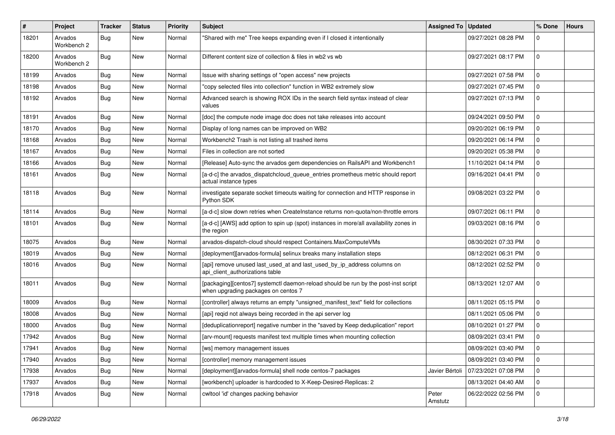| #     | Project                | <b>Tracker</b> | <b>Status</b> | <b>Priority</b> | <b>Subject</b>                                                                                                            | Assigned To   Updated |                     | % Done         | <b>Hours</b> |
|-------|------------------------|----------------|---------------|-----------------|---------------------------------------------------------------------------------------------------------------------------|-----------------------|---------------------|----------------|--------------|
| 18201 | Arvados<br>Workbench 2 | Bug            | New           | Normal          | "Shared with me" Tree keeps expanding even if I closed it intentionally                                                   |                       | 09/27/2021 08:28 PM | 0              |              |
| 18200 | Arvados<br>Workbench 2 | Bug            | <b>New</b>    | Normal          | Different content size of collection & files in wb2 vs wb                                                                 |                       | 09/27/2021 08:17 PM | $\mathbf 0$    |              |
| 18199 | Arvados                | Bug            | <b>New</b>    | Normal          | Issue with sharing settings of "open access" new projects                                                                 |                       | 09/27/2021 07:58 PM | $\overline{0}$ |              |
| 18198 | Arvados                | <b>Bug</b>     | New           | Normal          | "copy selected files into collection" function in WB2 extremely slow                                                      |                       | 09/27/2021 07:45 PM | $\mathbf 0$    |              |
| 18192 | Arvados                | Bug            | <b>New</b>    | Normal          | Advanced search is showing ROX IDs in the search field syntax instead of clear<br>values                                  |                       | 09/27/2021 07:13 PM | 0              |              |
| 18191 | Arvados                | Bug            | <b>New</b>    | Normal          | [doc] the compute node image doc does not take releases into account                                                      |                       | 09/24/2021 09:50 PM | $\Omega$       |              |
| 18170 | Arvados                | <b>Bug</b>     | <b>New</b>    | Normal          | Display of long names can be improved on WB2                                                                              |                       | 09/20/2021 06:19 PM | $\mathbf 0$    |              |
| 18168 | Arvados                | <b>Bug</b>     | New           | Normal          | Workbench2 Trash is not listing all trashed items                                                                         |                       | 09/20/2021 06:14 PM | $\mathbf 0$    |              |
| 18167 | Arvados                | Bug            | <b>New</b>    | Normal          | Files in collection are not sorted                                                                                        |                       | 09/20/2021 05:38 PM | $\mathbf 0$    |              |
| 18166 | Arvados                | <b>Bug</b>     | <b>New</b>    | Normal          | [Release] Auto-sync the arvados gem dependencies on RailsAPI and Workbench1                                               |                       | 11/10/2021 04:14 PM | $\mathbf 0$    |              |
| 18161 | Arvados                | <b>Bug</b>     | New           | Normal          | [a-d-c] the arvados_dispatchcloud_queue_entries prometheus metric should report<br>actual instance types                  |                       | 09/16/2021 04:41 PM | $\mathbf 0$    |              |
| 18118 | Arvados                | Bug            | New           | Normal          | investigate separate socket timeouts waiting for connection and HTTP response in<br>Python SDK                            |                       | 09/08/2021 03:22 PM | $\mathbf 0$    |              |
| 18114 | Arvados                | <b>Bug</b>     | <b>New</b>    | Normal          | [a-d-c] slow down retries when CreateInstance returns non-quota/non-throttle errors                                       |                       | 09/07/2021 06:11 PM | $\overline{0}$ |              |
| 18101 | Arvados                | Bug            | New           | Normal          | [a-d-c] [AWS] add option to spin up (spot) instances in more/all availability zones in<br>the region                      |                       | 09/03/2021 08:16 PM | $\mathbf 0$    |              |
| 18075 | Arvados                | Bug            | <b>New</b>    | Normal          | arvados-dispatch-cloud should respect Containers.MaxComputeVMs                                                            |                       | 08/30/2021 07:33 PM | $\overline{0}$ |              |
| 18019 | Arvados                | <b>Bug</b>     | New           | Normal          | [deployment][arvados-formula] selinux breaks many installation steps                                                      |                       | 08/12/2021 06:31 PM | $\mathbf 0$    |              |
| 18016 | Arvados                | <b>Bug</b>     | New           | Normal          | [api] remove unused last_used_at and last_used_by_ip_address columns on<br>api_client_authorizations table                |                       | 08/12/2021 02:52 PM | $\mathbf 0$    |              |
| 18011 | Arvados                | <b>Bug</b>     | New           | Normal          | [packaging][centos7] systemctl daemon-reload should be run by the post-inst script<br>when upgrading packages on centos 7 |                       | 08/13/2021 12:07 AM | $\mathbf 0$    |              |
| 18009 | Arvados                | <b>Bug</b>     | New           | Normal          | [controller] always returns an empty "unsigned manifest text" field for collections                                       |                       | 08/11/2021 05:15 PM | $\mathbf 0$    |              |
| 18008 | Arvados                | Bug            | <b>New</b>    | Normal          | [api] reqid not always being recorded in the api server log                                                               |                       | 08/11/2021 05:06 PM | $\mathbf 0$    |              |
| 18000 | Arvados                | Bug            | <b>New</b>    | Normal          | [deduplicationreport] negative number in the "saved by Keep deduplication" report                                         |                       | 08/10/2021 01:27 PM | $\overline{0}$ |              |
| 17942 | Arvados                | <b>Bug</b>     | New           | Normal          | [arv-mount] requests manifest text multiple times when mounting collection                                                |                       | 08/09/2021 03:41 PM | $\mathbf 0$    |              |
| 17941 | Arvados                | <b>Bug</b>     | New           | Normal          | [ws] memory management issues                                                                                             |                       | 08/09/2021 03:40 PM | 0              |              |
| 17940 | Arvados                | Bug            | New           | Normal          | [controller] memory management issues                                                                                     |                       | 08/09/2021 03:40 PM | 0              |              |
| 17938 | Arvados                | Bug            | New           | Normal          | [deployment][arvados-formula] shell node centos-7 packages                                                                | Javier Bértoli        | 07/23/2021 07:08 PM | $\mathbf 0$    |              |
| 17937 | Arvados                | Bug            | New           | Normal          | [workbench] uploader is hardcoded to X-Keep-Desired-Replicas: 2                                                           |                       | 08/13/2021 04:40 AM | 0              |              |
| 17918 | Arvados                | <b>Bug</b>     | New           | Normal          | cwltool 'id' changes packing behavior                                                                                     | Peter<br>Amstutz      | 06/22/2022 02:56 PM | 0              |              |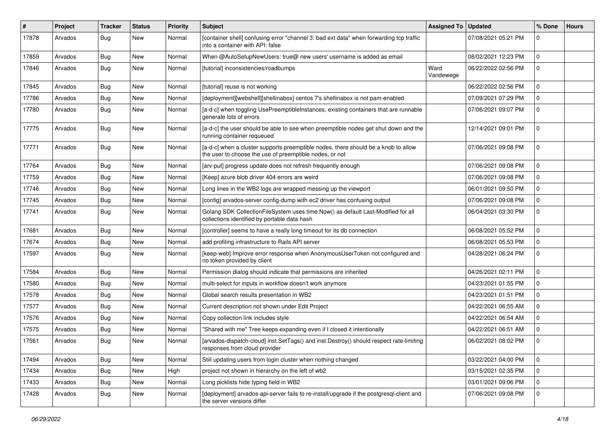| #     | Project | <b>Tracker</b> | <b>Status</b> | Priority | Subject                                                                                                                                       | Assigned To       | <b>Updated</b>      | % Done      | <b>Hours</b> |
|-------|---------|----------------|---------------|----------|-----------------------------------------------------------------------------------------------------------------------------------------------|-------------------|---------------------|-------------|--------------|
| 17878 | Arvados | <b>Bug</b>     | New           | Normal   | [container shell] confusing error "channel 3: bad ext data" when forwarding tcp traffic<br>into a container with API: false                   |                   | 07/08/2021 05:21 PM | $\mathbf 0$ |              |
| 17859 | Arvados | <b>Bug</b>     | New           | Normal   | When @AutoSetupNewUsers: true@ new users' username is added as email                                                                          |                   | 08/02/2021 12:23 PM | $\mathbf 0$ |              |
| 17846 | Arvados | <b>Bug</b>     | New           | Normal   | [tutorial] inconsistencies/roadbumps                                                                                                          | Ward<br>Vandewege | 06/22/2022 02:56 PM | $\mathbf 0$ |              |
| 17845 | Arvados | Bug            | <b>New</b>    | Normal   | [tutorial] reuse is not working                                                                                                               |                   | 06/22/2022 02:56 PM | 0           |              |
| 17786 | Arvados | Bug            | <b>New</b>    | Normal   | [deployment][webshell][shellinabox] centos 7's shellinabox is not pam-enabled                                                                 |                   | 07/09/2021 07:29 PM | $\mathbf 0$ |              |
| 17780 | Arvados | Bug            | New           | Normal   | [a-d-c] when toggling UsePreemptibleInstances, existing containers that are runnable<br>generate lots of errors                               |                   | 07/06/2021 09:07 PM | $\mathbf 0$ |              |
| 17775 | Arvados | <b>Bug</b>     | New           | Normal   | [a-d-c] the user should be able to see when preemptible nodes get shut down and the<br>running container requeued                             |                   | 12/14/2021 09:01 PM | $\mathbf 0$ |              |
| 17771 | Arvados | Bug            | New           | Normal   | [a-d-c] when a cluster supports preemptible nodes, there should be a knob to allow<br>the user to choose the use of preemptible nodes, or not |                   | 07/06/2021 09:08 PM | $\mathbf 0$ |              |
| 17764 | Arvados | Bug            | New           | Normal   | [arv-put] progress update does not refresh frequently enough                                                                                  |                   | 07/06/2021 09:08 PM | $\mathbf 0$ |              |
| 17759 | Arvados | Bug            | <b>New</b>    | Normal   | [Keep] azure blob driver 404 errors are weird                                                                                                 |                   | 07/06/2021 09:08 PM | $\mathbf 0$ |              |
| 17746 | Arvados | Bug            | New           | Normal   | Long lines in the WB2 logs are wrapped messing up the viewport                                                                                |                   | 06/01/2021 09:50 PM | $\mathbf 0$ |              |
| 17745 | Arvados | Bug            | New           | Normal   | [config] arvados-server config-dump with ec2 driver has confusing output                                                                      |                   | 07/06/2021 09:08 PM | 0           |              |
| 17741 | Arvados | <b>Bug</b>     | <b>New</b>    | Normal   | Golang SDK CollectionFileSystem uses time.Now() as default Last-Modified for all<br>collections identified by portable data hash              |                   | 06/04/2021 03:30 PM | $\mathbf 0$ |              |
| 17681 | Arvados | Bug            | <b>New</b>    | Normal   | [controller] seems to have a really long timeout for its db connection                                                                        |                   | 06/08/2021 05:52 PM | $\mathbf 0$ |              |
| 17674 | Arvados | Bug            | <b>New</b>    | Normal   | add profiling infrastructure to Rails API server                                                                                              |                   | 06/08/2021 05:53 PM | 0           |              |
| 17597 | Arvados | Bug            | New           | Normal   | [keep-web] Improve error response when AnonymousUserToken not configured and<br>no token provided by client                                   |                   | 04/28/2021 06:24 PM | $\mathbf 0$ |              |
| 17584 | Arvados | Bug            | <b>New</b>    | Normal   | Permission dialog should indicate that permissions are inherited                                                                              |                   | 04/26/2021 02:11 PM | $\mathbf 0$ |              |
| 17580 | Arvados | Bug            | New           | Normal   | multi-select for inputs in workflow doesn't work anymore                                                                                      |                   | 04/23/2021 01:55 PM | 0           |              |
| 17578 | Arvados | Bug            | <b>New</b>    | Normal   | Global search results presentation in WB2                                                                                                     |                   | 04/23/2021 01:51 PM | $\mathbf 0$ |              |
| 17577 | Arvados | Bug            | New           | Normal   | Current description not shown under Edit Project                                                                                              |                   | 04/22/2021 06:55 AM | $\mathbf 0$ |              |
| 17576 | Arvados | <b>Bug</b>     | <b>New</b>    | Normal   | Copy collection link includes style                                                                                                           |                   | 04/22/2021 06:54 AM | $\mathbf 0$ |              |
| 17575 | Arvados | Bug            | <b>New</b>    | Normal   | "Shared with me" Tree keeps expanding even if I closed it intentionally                                                                       |                   | 04/22/2021 06:51 AM | 0           |              |
| 17561 | Arvados | Bug            | New           | Normal   | [arvados-dispatch-cloud] inst.SetTags() and inst.Destroy() should respect rate-limiting<br>responses from cloud provider                      |                   | 06/02/2021 08:02 PM | 0           |              |
| 17494 | Arvados | Bug            | New           | Normal   | Still updating users from login cluster when nothing changed                                                                                  |                   | 03/22/2021 04:00 PM | $\mathbf 0$ |              |
| 17434 | Arvados | <b>Bug</b>     | New           | High     | project not shown in hierarchy on the left of wb2                                                                                             |                   | 03/15/2021 02:35 PM | $\mathbf 0$ |              |
| 17433 | Arvados | Bug            | New           | Normal   | Long picklists hide typing field in WB2                                                                                                       |                   | 03/01/2021 09:06 PM | $\mathbf 0$ |              |
| 17428 | Arvados | <b>Bug</b>     | New           | Normal   | [deployment] arvados-api-server fails to re-install/upgrade if the postgresql-client and<br>the server versions differ                        |                   | 07/06/2021 09:08 PM | $\mathbf 0$ |              |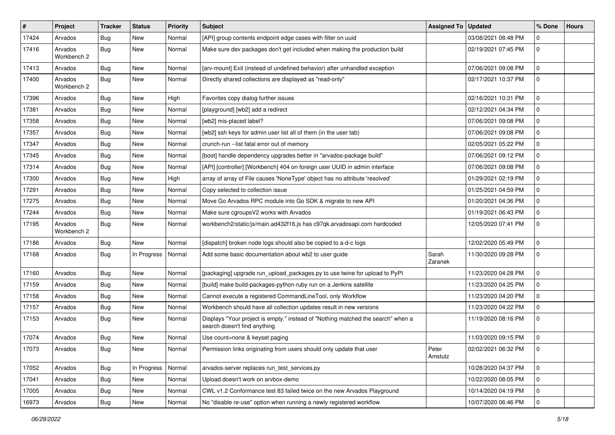| #     | Project                | Tracker    | <b>Status</b> | <b>Priority</b> | <b>Subject</b>                                                                                                   | <b>Assigned To</b> | <b>Updated</b>      | % Done      | <b>Hours</b> |
|-------|------------------------|------------|---------------|-----------------|------------------------------------------------------------------------------------------------------------------|--------------------|---------------------|-------------|--------------|
| 17424 | Arvados                | <b>Bug</b> | New           | Normal          | [API] group contents endpoint edge cases with filter on uuid                                                     |                    | 03/08/2021 08:48 PM | $\Omega$    |              |
| 17416 | Arvados<br>Workbench 2 | Bug        | New           | Normal          | Make sure dev packages don't get included when making the production build                                       |                    | 02/19/2021 07:45 PM | $\mathbf 0$ |              |
| 17413 | Arvados                | Bug        | New           | Normal          | [arv-mount] Exit (instead of undefined behavior) after unhandled exception                                       |                    | 07/06/2021 09:08 PM | $\mathbf 0$ |              |
| 17400 | Arvados<br>Workbench 2 | Bug        | New           | Normal          | Directly shared collections are displayed as "read-only"                                                         |                    | 02/17/2021 10:37 PM | l 0         |              |
| 17396 | Arvados                | Bug        | New           | High            | Favorites copy dialog further issues                                                                             |                    | 02/16/2021 10:31 PM | $\mathbf 0$ |              |
| 17381 | Arvados                | <b>Bug</b> | New           | Normal          | [playground] [wb2] add a redirect                                                                                |                    | 02/12/2021 04:34 PM | $\mathbf 0$ |              |
| 17358 | Arvados                | <b>Bug</b> | New           | Normal          | [wb2] mis-placed label?                                                                                          |                    | 07/06/2021 09:08 PM | $\Omega$    |              |
| 17357 | Arvados                | <b>Bug</b> | New           | Normal          | [wb2] ssh keys for admin user list all of them (in the user tab)                                                 |                    | 07/06/2021 09:08 PM | $\mathbf 0$ |              |
| 17347 | Arvados                | <b>Bug</b> | New           | Normal          | crunch-run --list fatal error out of memory                                                                      |                    | 02/05/2021 05:22 PM | $\mathbf 0$ |              |
| 17345 | Arvados                | <b>Bug</b> | New           | Normal          | [boot] handle dependency upgrades better in "arvados-package build"                                              |                    | 07/06/2021 09:12 PM | $\mathbf 0$ |              |
| 17314 | Arvados                | <b>Bug</b> | New           | Normal          | [API] [controller] [Workbench] 404 on foreign user UUID in admin interface                                       |                    | 07/06/2021 09:08 PM | $\mathbf 0$ |              |
| 17300 | Arvados                | <b>Bug</b> | New           | High            | array of array of File causes 'NoneType' object has no attribute 'resolved'                                      |                    | 01/29/2021 02:19 PM | $\mathbf 0$ |              |
| 17291 | Arvados                | Bug        | <b>New</b>    | Normal          | Copy selected to collection issue                                                                                |                    | 01/25/2021 04:59 PM | $\mathbf 0$ |              |
| 17275 | Arvados                | <b>Bug</b> | New           | Normal          | Move Go Arvados RPC module into Go SDK & migrate to new API                                                      |                    | 01/20/2021 04:36 PM | $\mathbf 0$ |              |
| 17244 | Arvados                | <b>Bug</b> | New           | Normal          | Make sure cgroupsV2 works with Arvados                                                                           |                    | 01/19/2021 06:43 PM | $\mathbf 0$ |              |
| 17195 | Arvados<br>Workbench 2 | <b>Bug</b> | <b>New</b>    | Normal          | workbench2/static/js/main.ad432f16.js has c97qk.arvadosapi.com hardcoded                                         |                    | 12/05/2020 07:41 PM | $\mathbf 0$ |              |
| 17186 | Arvados                | <b>Bug</b> | New           | Normal          | [dispatch] broken node logs should also be copied to a-d-c logs                                                  |                    | 12/02/2020 05:49 PM | $\mathbf 0$ |              |
| 17168 | Arvados                | Bug        | In Progress   | Normal          | Add some basic documentation about wb2 to user guide                                                             | Sarah<br>Zaranek   | 11/30/2020 09:28 PM | $\mathbf 0$ |              |
| 17160 | Arvados                | <b>Bug</b> | New           | Normal          | [packaging] upgrade run_upload_packages.py to use twine for upload to PyPI                                       |                    | 11/23/2020 04:28 PM | $\mathbf 0$ |              |
| 17159 | Arvados                | <b>Bug</b> | New           | Normal          | [build] make build-packages-python-ruby run on a Jenkins satellite                                               |                    | 11/23/2020 04:25 PM | 0           |              |
| 17158 | Arvados                | <b>Bug</b> | <b>New</b>    | Normal          | Cannot execute a registered CommandLineTool, only Workflow                                                       |                    | 11/23/2020 04:20 PM | $\mathbf 0$ |              |
| 17157 | Arvados                | <b>Bug</b> | <b>New</b>    | Normal          | Workbench should have all collection updates result in new versions                                              |                    | 11/23/2020 04:22 PM | $\mathbf 0$ |              |
| 17153 | Arvados                | <b>Bug</b> | New           | Normal          | Displays "Your project is empty." instead of "Nothing matched the search" when a<br>search doesn't find anything |                    | 11/19/2020 08:16 PM | $\mathbf 0$ |              |
| 17074 | Arvados                | Bug        | New           | Normal          | Use count=none & keyset paging                                                                                   |                    | 11/03/2020 09:15 PM | $\mathbf 0$ |              |
| 17073 | Arvados                | Bug        | New           | Normal          | Permission links originating from users should only update that user                                             | Peter<br>Amstutz   | 02/02/2021 06:32 PM | l 0         |              |
| 17052 | Arvados                | Bug        | In Progress   | Normal          | arvados-server replaces run test services.py                                                                     |                    | 10/28/2020 04:37 PM | 0           |              |
| 17041 | Arvados                | <b>Bug</b> | New           | Normal          | Upload doesn't work on arvbox-demo                                                                               |                    | 10/22/2020 08:05 PM | $\mathbf 0$ |              |
| 17005 | Arvados                | <b>Bug</b> | New           | Normal          | CWL v1.2 Conformance test 83 failed twice on the new Arvados Playground                                          |                    | 10/14/2020 04:19 PM | 0           |              |
| 16973 | Arvados                | Bug        | New           | Normal          | No "disable re-use" option when running a newly registered workflow                                              |                    | 10/07/2020 06:46 PM | 0           |              |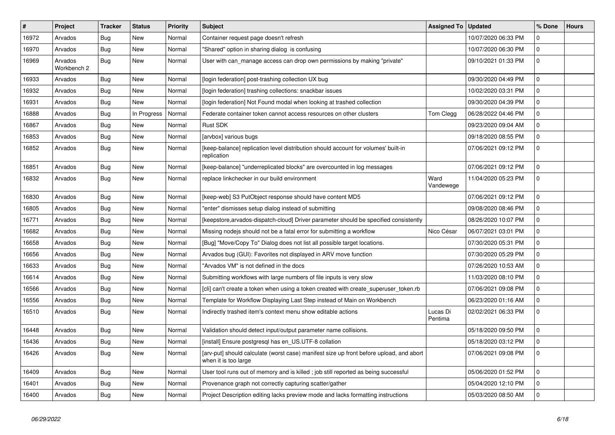| $\#$  | Project                | <b>Tracker</b> | <b>Status</b> | <b>Priority</b> | <b>Subject</b>                                                                                                  | <b>Assigned To</b>  | <b>Updated</b>      | % Done       | <b>Hours</b> |
|-------|------------------------|----------------|---------------|-----------------|-----------------------------------------------------------------------------------------------------------------|---------------------|---------------------|--------------|--------------|
| 16972 | Arvados                | Bug            | <b>New</b>    | Normal          | Container request page doesn't refresh                                                                          |                     | 10/07/2020 06:33 PM | $\mathbf 0$  |              |
| 16970 | Arvados                | Bug            | <b>New</b>    | Normal          | "Shared" option in sharing dialog is confusing                                                                  |                     | 10/07/2020 06:30 PM | $\mathbf 0$  |              |
| 16969 | Arvados<br>Workbench 2 | Bug            | <b>New</b>    | Normal          | User with can_manage access can drop own permissions by making "private"                                        |                     | 09/10/2021 01:33 PM | $\mathbf 0$  |              |
| 16933 | Arvados                | Bug            | <b>New</b>    | Normal          | [login federation] post-trashing collection UX bug                                                              |                     | 09/30/2020 04:49 PM | $\mathbf 0$  |              |
| 16932 | Arvados                | Bug            | <b>New</b>    | Normal          | [login federation] trashing collections: snackbar issues                                                        |                     | 10/02/2020 03:31 PM | $\mathbf 0$  |              |
| 16931 | Arvados                | Bug            | <b>New</b>    | Normal          | [login federation] Not Found modal when looking at trashed collection                                           |                     | 09/30/2020 04:39 PM | $\mathbf 0$  |              |
| 16888 | Arvados                | Bug            | In Progress   | Normal          | Federate container token cannot access resources on other clusters                                              | Tom Clegg           | 06/28/2022 04:46 PM | $\mathbf 0$  |              |
| 16867 | Arvados                | Bug            | <b>New</b>    | Normal          | Rust SDK                                                                                                        |                     | 09/23/2020 09:04 AM | $\mathbf 0$  |              |
| 16853 | Arvados                | Bug            | New           | Normal          | [arvbox] various bugs                                                                                           |                     | 09/18/2020 08:55 PM | $\mathbf 0$  |              |
| 16852 | Arvados                | Bug            | <b>New</b>    | Normal          | [keep-balance] replication level distribution should account for volumes' built-in<br>replication               |                     | 07/06/2021 09:12 PM | $\mathbf 0$  |              |
| 16851 | Arvados                | Bug            | <b>New</b>    | Normal          | [keep-balance] "underreplicated blocks" are overcounted in log messages                                         |                     | 07/06/2021 09:12 PM | $\Omega$     |              |
| 16832 | Arvados                | <b>Bug</b>     | New           | Normal          | replace linkchecker in our build environment                                                                    | Ward<br>Vandewege   | 11/04/2020 05:23 PM | $\mathbf{0}$ |              |
| 16830 | Arvados                | <b>Bug</b>     | <b>New</b>    | Normal          | [keep-web] S3 PutObject response should have content MD5                                                        |                     | 07/06/2021 09:12 PM | $\mathbf{0}$ |              |
| 16805 | Arvados                | Bug            | <b>New</b>    | Normal          | "enter" dismisses setup dialog instead of submitting                                                            |                     | 09/08/2020 08:46 PM | $\Omega$     |              |
| 16771 | Arvados                | <b>Bug</b>     | <b>New</b>    | Normal          | [keepstore,arvados-dispatch-cloud] Driver parameter should be specified consistently                            |                     | 08/26/2020 10:07 PM | $\mathbf 0$  |              |
| 16682 | Arvados                | Bug            | <b>New</b>    | Normal          | Missing nodejs should not be a fatal error for submitting a workflow                                            | Nico César          | 06/07/2021 03:01 PM | $\mathbf{0}$ |              |
| 16658 | Arvados                | Bug            | <b>New</b>    | Normal          | [Bug] "Move/Copy To" Dialog does not list all possible target locations.                                        |                     | 07/30/2020 05:31 PM | $\mathbf 0$  |              |
| 16656 | Arvados                | <b>Bug</b>     | <b>New</b>    | Normal          | Arvados bug (GUI): Favorites not displayed in ARV move function                                                 |                     | 07/30/2020 05:29 PM | $\Omega$     |              |
| 16633 | Arvados                | Bug            | <b>New</b>    | Normal          | "Arvados VM" is not defined in the docs                                                                         |                     | 07/26/2020 10:53 AM | $\mathbf 0$  |              |
| 16614 | Arvados                | Bug            | <b>New</b>    | Normal          | Submitting workflows with large numbers of file inputs is very slow                                             |                     | 11/03/2020 08:10 PM | $\mathbf{0}$ |              |
| 16566 | Arvados                | Bug            | <b>New</b>    | Normal          | [cli] can't create a token when using a token created with create_superuser_token.rb                            |                     | 07/06/2021 09:08 PM | $\mathbf 0$  |              |
| 16556 | Arvados                | Bug            | <b>New</b>    | Normal          | Template for Workflow Displaying Last Step instead of Main on Workbench                                         |                     | 06/23/2020 01:16 AM | $\Omega$     |              |
| 16510 | Arvados                | <b>Bug</b>     | <b>New</b>    | Normal          | Indirectly trashed item's context menu show editable actions                                                    | Lucas Di<br>Pentima | 02/02/2021 06:33 PM | $\Omega$     |              |
| 16448 | Arvados                | Bug            | New           | Normal          | Validation should detect input/output parameter name collisions.                                                |                     | 05/18/2020 09:50 PM | $\Omega$     |              |
| 16436 | Arvados                | <b>Bug</b>     | <b>New</b>    | Normal          | [install] Ensure postgresql has en_US.UTF-8 collation                                                           |                     | 05/18/2020 03:12 PM | $\mathbf 0$  |              |
| 16426 | Arvados                | Bug            | <b>New</b>    | Normal          | [arv-put] should calculate (worst case) manifest size up front before upload, and abort<br>when it is too large |                     | 07/06/2021 09:08 PM | $\mathbf 0$  |              |
| 16409 | Arvados                | Bug            | <b>New</b>    | Normal          | User tool runs out of memory and is killed; job still reported as being successful                              |                     | 05/06/2020 01:52 PM | $\mathbf 0$  |              |
| 16401 | Arvados                | <b>Bug</b>     | <b>New</b>    | Normal          | Provenance graph not correctly capturing scatter/gather                                                         |                     | 05/04/2020 12:10 PM | $\mathbf 0$  |              |
| 16400 | Arvados                | Bug            | <b>New</b>    | Normal          | Project Description editing lacks preview mode and lacks formatting instructions                                |                     | 05/03/2020 08:50 AM | $\mathbf 0$  |              |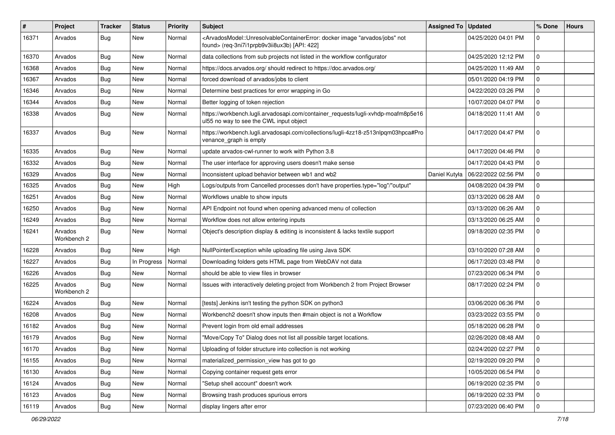| $\#$  | Project                | <b>Tracker</b> | <b>Status</b> | <b>Priority</b> | <b>Subject</b>                                                                                                                                                                           | Assigned To   | <b>Updated</b>      | % Done       | <b>Hours</b> |
|-------|------------------------|----------------|---------------|-----------------|------------------------------------------------------------------------------------------------------------------------------------------------------------------------------------------|---------------|---------------------|--------------|--------------|
| 16371 | Arvados                | Bug            | New           | Normal          | <arvadosmodel::unresolvablecontainererror: "arvados="" docker="" image="" jobs"="" not<br="">found&gt; (req-3ni7i1prpb9v3ii8ux3b) [API: 422]</arvadosmodel::unresolvablecontainererror:> |               | 04/25/2020 04:01 PM | 0            |              |
| 16370 | Arvados                | Bug            | New           | Normal          | data collections from sub projects not listed in the workflow configurator                                                                                                               |               | 04/25/2020 12:12 PM | 0            |              |
| 16368 | Arvados                | <b>Bug</b>     | <b>New</b>    | Normal          | https://docs.arvados.org/ should redirect to https://doc.arvados.org/                                                                                                                    |               | 04/25/2020 11:49 AM | $\mathbf 0$  |              |
| 16367 | Arvados                | Bug            | <b>New</b>    | Normal          | forced download of arvados/jobs to client                                                                                                                                                |               | 05/01/2020 04:19 PM | 0            |              |
| 16346 | Arvados                | <b>Bug</b>     | New           | Normal          | Determine best practices for error wrapping in Go                                                                                                                                        |               | 04/22/2020 03:26 PM | 0            |              |
| 16344 | Arvados                | <b>Bug</b>     | <b>New</b>    | Normal          | Better logging of token rejection                                                                                                                                                        |               | 10/07/2020 04:07 PM | $\mathbf 0$  |              |
| 16338 | Arvados                | <b>Bug</b>     | New           | Normal          | https://workbench.lugli.arvadosapi.com/container_requests/lugli-xvhdp-moafm8p5e16<br>ul55 no way to see the CWL input object                                                             |               | 04/18/2020 11:41 AM | $\mathbf 0$  |              |
| 16337 | Arvados                | Bug            | New           | Normal          | https://workbench.lugli.arvadosapi.com/collections/lugli-4zz18-z513nlpqm03hpca#Pro<br>venance_graph is empty                                                                             |               | 04/17/2020 04:47 PM | $\mathbf 0$  |              |
| 16335 | Arvados                | Bug            | <b>New</b>    | Normal          | update arvados-cwl-runner to work with Python 3.8                                                                                                                                        |               | 04/17/2020 04:46 PM | 0            |              |
| 16332 | Arvados                | Bug            | <b>New</b>    | Normal          | The user interface for approving users doesn't make sense                                                                                                                                |               | 04/17/2020 04:43 PM | 0            |              |
| 16329 | Arvados                | <b>Bug</b>     | New           | Normal          | Inconsistent upload behavior between wb1 and wb2                                                                                                                                         | Daniel Kutyła | 06/22/2022 02:56 PM | 0            |              |
| 16325 | Arvados                | Bug            | New           | High            | Logs/outputs from Cancelled processes don't have properties.type="log"/"output"                                                                                                          |               | 04/08/2020 04:39 PM | $\mathbf 0$  |              |
| 16251 | Arvados                | <b>Bug</b>     | New           | Normal          | Workflows unable to show inputs                                                                                                                                                          |               | 03/13/2020 06:28 AM | 0            |              |
| 16250 | Arvados                | <b>Bug</b>     | <b>New</b>    | Normal          | API Endpoint not found when opening advanced menu of collection                                                                                                                          |               | 03/13/2020 06:26 AM | $\mathbf 0$  |              |
| 16249 | Arvados                | Bug            | <b>New</b>    | Normal          | Workflow does not allow entering inputs                                                                                                                                                  |               | 03/13/2020 06:25 AM | $\mathbf{0}$ |              |
| 16241 | Arvados<br>Workbench 2 | <b>Bug</b>     | New           | Normal          | Object's description display & editing is inconsistent & lacks textile support                                                                                                           |               | 09/18/2020 02:35 PM | $\mathbf 0$  |              |
| 16228 | Arvados                | Bug            | New           | High            | NullPointerException while uploading file using Java SDK                                                                                                                                 |               | 03/10/2020 07:28 AM | $\mathbf 0$  |              |
| 16227 | Arvados                | <b>Bug</b>     | In Progress   | Normal          | Downloading folders gets HTML page from WebDAV not data                                                                                                                                  |               | 06/17/2020 03:48 PM | 0            |              |
| 16226 | Arvados                | Bug            | <b>New</b>    | Normal          | should be able to view files in browser                                                                                                                                                  |               | 07/23/2020 06:34 PM | $\mathbf 0$  |              |
| 16225 | Arvados<br>Workbench 2 | <b>Bug</b>     | New           | Normal          | Issues with interactively deleting project from Workbench 2 from Project Browser                                                                                                         |               | 08/17/2020 02:24 PM | 0            |              |
| 16224 | Arvados                | <b>Bug</b>     | <b>New</b>    | Normal          | [tests] Jenkins isn't testing the python SDK on python3                                                                                                                                  |               | 03/06/2020 06:36 PM | $\mathbf 0$  |              |
| 16208 | Arvados                | <b>Bug</b>     | New           | Normal          | Workbench2 doesn't show inputs then #main object is not a Workflow                                                                                                                       |               | 03/23/2022 03:55 PM | $\mathbf 0$  |              |
| 16182 | Arvados                | <b>Bug</b>     | New           | Normal          | Prevent login from old email addresses                                                                                                                                                   |               | 05/18/2020 06:28 PM | 0            |              |
| 16179 | Arvados                | <b>Bug</b>     | <b>New</b>    | Normal          | "Move/Copy To" Dialog does not list all possible target locations.                                                                                                                       |               | 02/26/2020 08:48 AM | 0            |              |
| 16170 | Arvados                | Bug            | New           | Normal          | Uploading of folder structure into collection is not working                                                                                                                             |               | 02/24/2020 02:27 PM | 0            |              |
| 16155 | Arvados                | <b>Bug</b>     | New           | Normal          | materialized_permission_view has got to go                                                                                                                                               |               | 02/19/2020 09:20 PM | $\mathbf 0$  |              |
| 16130 | Arvados                | <b>Bug</b>     | New           | Normal          | Copying container request gets error                                                                                                                                                     |               | 10/05/2020 06:54 PM | 0            |              |
| 16124 | Arvados                | <b>Bug</b>     | New           | Normal          | "Setup shell account" doesn't work                                                                                                                                                       |               | 06/19/2020 02:35 PM | $\mathbf 0$  |              |
| 16123 | Arvados                | Bug            | New           | Normal          | Browsing trash produces spurious errors                                                                                                                                                  |               | 06/19/2020 02:33 PM | 0            |              |
| 16119 | Arvados                | Bug            | New           | Normal          | display lingers after error                                                                                                                                                              |               | 07/23/2020 06:40 PM | 0            |              |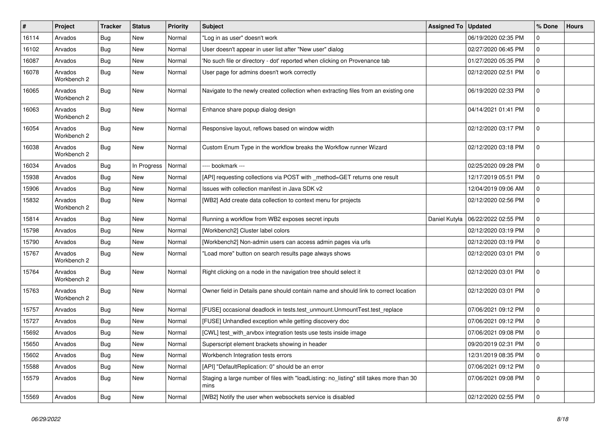| #     | Project                | Tracker    | <b>Status</b> | <b>Priority</b> | Subject                                                                                         | Assigned To   | <b>Updated</b>      | % Done      | <b>Hours</b> |
|-------|------------------------|------------|---------------|-----------------|-------------------------------------------------------------------------------------------------|---------------|---------------------|-------------|--------------|
| 16114 | Arvados                | <b>Bug</b> | New           | Normal          | "Log in as user" doesn't work                                                                   |               | 06/19/2020 02:35 PM | $\Omega$    |              |
| 16102 | Arvados                | Bug        | <b>New</b>    | Normal          | User doesn't appear in user list after "New user" dialog                                        |               | 02/27/2020 06:45 PM | $\mathbf 0$ |              |
| 16087 | Arvados                | Bug        | New           | Normal          | 'No such file or directory - dot' reported when clicking on Provenance tab                      |               | 01/27/2020 05:35 PM | 0           |              |
| 16078 | Arvados<br>Workbench 2 | Bug        | New           | Normal          | User page for admins doesn't work correctly                                                     |               | 02/12/2020 02:51 PM | $\mathbf 0$ |              |
| 16065 | Arvados<br>Workbench 2 | Bug        | New           | Normal          | Navigate to the newly created collection when extracting files from an existing one             |               | 06/19/2020 02:33 PM | 0           |              |
| 16063 | Arvados<br>Workbench 2 | <b>Bug</b> | New           | Normal          | Enhance share popup dialog design                                                               |               | 04/14/2021 01:41 PM | $\mathbf 0$ |              |
| 16054 | Arvados<br>Workbench 2 | <b>Bug</b> | New           | Normal          | Responsive layout, reflows based on window width                                                |               | 02/12/2020 03:17 PM | $\mathbf 0$ |              |
| 16038 | Arvados<br>Workbench 2 | Bug        | New           | Normal          | Custom Enum Type in the workflow breaks the Workflow runner Wizard                              |               | 02/12/2020 03:18 PM | $\mathbf 0$ |              |
| 16034 | Arvados                | Bug        | In Progress   | Normal          | ---- bookmark ---                                                                               |               | 02/25/2020 09:28 PM | $\mathbf 0$ |              |
| 15938 | Arvados                | Bug        | New           | Normal          | [API] requesting collections via POST with _method=GET returns one result                       |               | 12/17/2019 05:51 PM | $\mathbf 0$ |              |
| 15906 | Arvados                | Bug        | New           | Normal          | Issues with collection manifest in Java SDK v2                                                  |               | 12/04/2019 09:06 AM | $\mathbf 0$ |              |
| 15832 | Arvados<br>Workbench 2 | Bug        | New           | Normal          | [WB2] Add create data collection to context menu for projects                                   |               | 02/12/2020 02:56 PM | $\mathbf 0$ |              |
| 15814 | Arvados                | Bug        | New           | Normal          | Running a workflow from WB2 exposes secret inputs                                               | Daniel Kutyła | 06/22/2022 02:55 PM | $\mathbf 0$ |              |
| 15798 | Arvados                | Bug        | New           | Normal          | [Workbench2] Cluster label colors                                                               |               | 02/12/2020 03:19 PM | $\mathbf 0$ |              |
| 15790 | Arvados                | Bug        | <b>New</b>    | Normal          | [Workbench2] Non-admin users can access admin pages via urls                                    |               | 02/12/2020 03:19 PM | $\mathbf 0$ |              |
| 15767 | Arvados<br>Workbench 2 | Bug        | New           | Normal          | "Load more" button on search results page always shows                                          |               | 02/12/2020 03:01 PM | 0           |              |
| 15764 | Arvados<br>Workbench 2 | <b>Bug</b> | New           | Normal          | Right clicking on a node in the navigation tree should select it                                |               | 02/12/2020 03:01 PM | $\mathbf 0$ |              |
| 15763 | Arvados<br>Workbench 2 | Bug        | New           | Normal          | Owner field in Details pane should contain name and should link to correct location             |               | 02/12/2020 03:01 PM | $\mathbf 0$ |              |
| 15757 | Arvados                | Bug        | New           | Normal          | [FUSE] occasional deadlock in tests.test_unmount.UnmountTest.test_replace                       |               | 07/06/2021 09:12 PM | $\mathbf 0$ |              |
| 15727 | Arvados                | Bug        | <b>New</b>    | Normal          | [FUSE] Unhandled exception while getting discovery doc                                          |               | 07/06/2021 09:12 PM | $\mathbf 0$ |              |
| 15692 | Arvados                | <b>Bug</b> | New           | Normal          | [CWL] test_with_arvbox integration tests use tests inside image                                 |               | 07/06/2021 09:08 PM | $\mathbf 0$ |              |
| 15650 | Arvados                | <b>Bug</b> | New           | Normal          | Superscript element brackets showing in header                                                  |               | 09/20/2019 02:31 PM | $\mathbf 0$ |              |
| 15602 | Arvados                | <b>Bug</b> | New           | Normal          | Workbench Integration tests errors                                                              |               | 12/31/2019 08:35 PM | 0           |              |
| 15588 | Arvados                | Bug        | New           | Normal          | [API] "DefaultReplication: 0" should be an error                                                |               | 07/06/2021 09:12 PM | $\mathbf 0$ |              |
| 15579 | Arvados                | Bug        | New           | Normal          | Staging a large number of files with "loadListing: no listing" still takes more than 30<br>mins |               | 07/06/2021 09:08 PM | 0           |              |
| 15569 | Arvados                | <b>Bug</b> | New           | Normal          | [WB2] Notify the user when websockets service is disabled                                       |               | 02/12/2020 02:55 PM | 0           |              |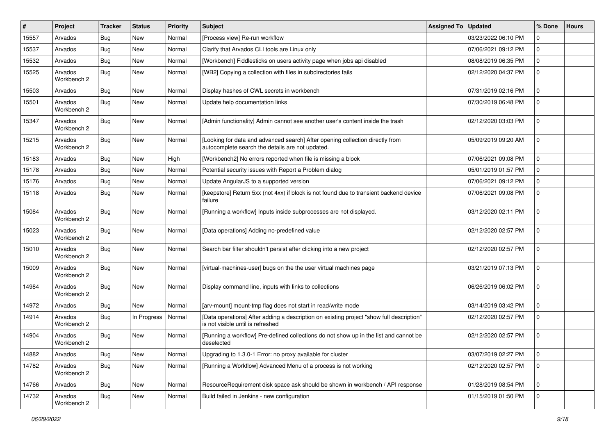| #     | Project                | Tracker    | <b>Status</b> | <b>Priority</b> | <b>Subject</b>                                                                                                                    | <b>Assigned To</b> | <b>Updated</b>      | % Done      | <b>Hours</b> |
|-------|------------------------|------------|---------------|-----------------|-----------------------------------------------------------------------------------------------------------------------------------|--------------------|---------------------|-------------|--------------|
| 15557 | Arvados                | <b>Bug</b> | New           | Normal          | [Process view] Re-run workflow                                                                                                    |                    | 03/23/2022 06:10 PM | $\Omega$    |              |
| 15537 | Arvados                | Bug        | <b>New</b>    | Normal          | Clarify that Arvados CLI tools are Linux only                                                                                     |                    | 07/06/2021 09:12 PM | $\mathbf 0$ |              |
| 15532 | Arvados                | Bug        | New           | Normal          | [Workbench] Fiddlesticks on users activity page when jobs api disabled                                                            |                    | 08/08/2019 06:35 PM | $\mathbf 0$ |              |
| 15525 | Arvados<br>Workbench 2 | Bug        | New           | Normal          | [WB2] Copying a collection with files in subdirectories fails                                                                     |                    | 02/12/2020 04:37 PM | $\mathbf 0$ |              |
| 15503 | Arvados                | Bug        | New           | Normal          | Display hashes of CWL secrets in workbench                                                                                        |                    | 07/31/2019 02:16 PM | 0           |              |
| 15501 | Arvados<br>Workbench 2 | Bug        | New           | Normal          | Update help documentation links                                                                                                   |                    | 07/30/2019 06:48 PM | $\mathbf 0$ |              |
| 15347 | Arvados<br>Workbench 2 | Bug        | New           | Normal          | [Admin functionality] Admin cannot see another user's content inside the trash                                                    |                    | 02/12/2020 03:03 PM | $\Omega$    |              |
| 15215 | Arvados<br>Workbench 2 | <b>Bug</b> | New           | Normal          | [Looking for data and advanced search] After opening collection directly from<br>autocomplete search the details are not updated. |                    | 05/09/2019 09:20 AM | $\mathbf 0$ |              |
| 15183 | Arvados                | Bug        | <b>New</b>    | High            | [Workbench2] No errors reported when file is missing a block                                                                      |                    | 07/06/2021 09:08 PM | $\mathbf 0$ |              |
| 15178 | Arvados                | Bug        | New           | Normal          | Potential security issues with Report a Problem dialog                                                                            |                    | 05/01/2019 01:57 PM | $\mathbf 0$ |              |
| 15176 | Arvados                | Bug        | New           | Normal          | Update AngularJS to a supported version                                                                                           |                    | 07/06/2021 09:12 PM | $\mathbf 0$ |              |
| 15118 | Arvados                | Bug        | New           | Normal          | [keepstore] Return 5xx (not 4xx) if block is not found due to transient backend device<br>failure                                 |                    | 07/06/2021 09:08 PM | $\mathbf 0$ |              |
| 15084 | Arvados<br>Workbench 2 | Bug        | New           | Normal          | [Running a workflow] Inputs inside subprocesses are not displayed.                                                                |                    | 03/12/2020 02:11 PM | $\mathbf 0$ |              |
| 15023 | Arvados<br>Workbench 2 | <b>Bug</b> | New           | Normal          | [Data operations] Adding no-predefined value                                                                                      |                    | 02/12/2020 02:57 PM | $\mathbf 0$ |              |
| 15010 | Arvados<br>Workbench 2 | Bug        | New           | Normal          | Search bar filter shouldn't persist after clicking into a new project                                                             |                    | 02/12/2020 02:57 PM | $\mathbf 0$ |              |
| 15009 | Arvados<br>Workbench 2 | <b>Bug</b> | New           | Normal          | [virtual-machines-user] bugs on the the user virtual machines page                                                                |                    | 03/21/2019 07:13 PM | $\mathbf 0$ |              |
| 14984 | Arvados<br>Workbench 2 | Bug        | New           | Normal          | Display command line, inputs with links to collections                                                                            |                    | 06/26/2019 06:02 PM | $\mathbf 0$ |              |
| 14972 | Arvados                | Bug        | New           | Normal          | [arv-mount] mount-tmp flag does not start in read/write mode                                                                      |                    | 03/14/2019 03:42 PM | $\Omega$    |              |
| 14914 | Arvados<br>Workbench 2 | Bug        | In Progress   | Normal          | [Data operations] After adding a description on existing project "show full description"<br>is not visible until is refreshed     |                    | 02/12/2020 02:57 PM | $\mathbf 0$ |              |
| 14904 | Arvados<br>Workbench 2 | <b>Bug</b> | <b>New</b>    | Normal          | [Running a workflow] Pre-defined collections do not show up in the list and cannot be<br>deselected                               |                    | 02/12/2020 02:57 PM | $\mathbf 0$ |              |
| 14882 | Arvados                | <b>Bug</b> | New           | Normal          | Upgrading to 1.3.0-1 Error: no proxy available for cluster                                                                        |                    | 03/07/2019 02:27 PM | 0           |              |
| 14782 | Arvados<br>Workbench 2 | Bug        | New           | Normal          | [Running a Workflow] Advanced Menu of a process is not working                                                                    |                    | 02/12/2020 02:57 PM | 0           |              |
| 14766 | Arvados                | <b>Bug</b> | New           | Normal          | ResourceRequirement disk space ask should be shown in workbench / API response                                                    |                    | 01/28/2019 08:54 PM | $\mathbf 0$ |              |
| 14732 | Arvados<br>Workbench 2 | Bug        | New           | Normal          | Build failed in Jenkins - new configuration                                                                                       |                    | 01/15/2019 01:50 PM | 0           |              |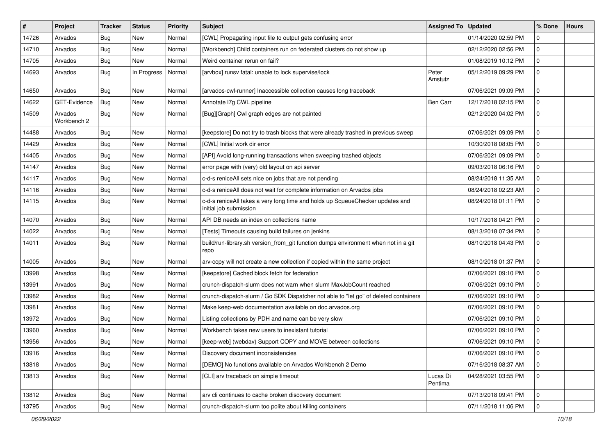| #     | Project                | Tracker    | <b>Status</b> | <b>Priority</b> | <b>Subject</b>                                                                                          | <b>Assigned To</b>  | <b>Updated</b>      | % Done      | <b>Hours</b> |
|-------|------------------------|------------|---------------|-----------------|---------------------------------------------------------------------------------------------------------|---------------------|---------------------|-------------|--------------|
| 14726 | Arvados                | <b>Bug</b> | New           | Normal          | [CWL] Propagating input file to output gets confusing error                                             |                     | 01/14/2020 02:59 PM | $\Omega$    |              |
| 14710 | Arvados                | Bug        | <b>New</b>    | Normal          | [Workbench] Child containers run on federated clusters do not show up                                   |                     | 02/12/2020 02:56 PM | $\mathbf 0$ |              |
| 14705 | Arvados                | <b>Bug</b> | New           | Normal          | Weird container rerun on fail?                                                                          |                     | 01/08/2019 10:12 PM | $\mathbf 0$ |              |
| 14693 | Arvados                | Bug        | In Progress   | Normal          | [arvbox] runsv fatal: unable to lock supervise/lock                                                     | Peter<br>Amstutz    | 05/12/2019 09:29 PM | $\mathbf 0$ |              |
| 14650 | Arvados                | Bug        | New           | Normal          | [arvados-cwl-runner] Inaccessible collection causes long traceback                                      |                     | 07/06/2021 09:09 PM | $\mathbf 0$ |              |
| 14622 | GET-Evidence           | Bug        | New           | Normal          | Annotate I7g CWL pipeline                                                                               | Ben Carr            | 12/17/2018 02:15 PM | $\mathbf 0$ |              |
| 14509 | Arvados<br>Workbench 2 | Bug        | New           | Normal          | [Bug][Graph] Cwl graph edges are not painted                                                            |                     | 02/12/2020 04:02 PM | $\mathbf 0$ |              |
| 14488 | Arvados                | Bug        | <b>New</b>    | Normal          | [keepstore] Do not try to trash blocks that were already trashed in previous sweep                      |                     | 07/06/2021 09:09 PM | $\mathbf 0$ |              |
| 14429 | Arvados                | <b>Bug</b> | New           | Normal          | [CWL] Initial work dir error                                                                            |                     | 10/30/2018 08:05 PM | $\mathbf 0$ |              |
| 14405 | Arvados                | Bug        | New           | Normal          | [API] Avoid long-running transactions when sweeping trashed objects                                     |                     | 07/06/2021 09:09 PM | $\mathbf 0$ |              |
| 14147 | Arvados                | Bug        | <b>New</b>    | Normal          | error page with (very) old layout on api server                                                         |                     | 09/03/2018 06:16 PM | $\mathbf 0$ |              |
| 14117 | Arvados                | Bug        | New           | Normal          | c-d-s reniceAll sets nice on jobs that are not pending                                                  |                     | 08/24/2018 11:35 AM | $\mathbf 0$ |              |
| 14116 | Arvados                | <b>Bug</b> | <b>New</b>    | Normal          | c-d-s reniceAll does not wait for complete information on Arvados jobs                                  |                     | 08/24/2018 02:23 AM | $\mathbf 0$ |              |
| 14115 | Arvados                | Bug        | New           | Normal          | c-d-s reniceAll takes a very long time and holds up SqueueChecker updates and<br>initial job submission |                     | 08/24/2018 01:11 PM | 0           |              |
| 14070 | Arvados                | Bug        | <b>New</b>    | Normal          | API DB needs an index on collections name                                                               |                     | 10/17/2018 04:21 PM | $\mathbf 0$ |              |
| 14022 | Arvados                | <b>Bug</b> | New           | Normal          | [Tests] Timeouts causing build failures on jenkins                                                      |                     | 08/13/2018 07:34 PM | $\mathbf 0$ |              |
| 14011 | Arvados                | Bug        | New           | Normal          | build/run-library.sh version_from_git function dumps environment when not in a git<br>repo              |                     | 08/10/2018 04:43 PM | $\mathbf 0$ |              |
| 14005 | Arvados                | Bug        | <b>New</b>    | Normal          | arv-copy will not create a new collection if copied within the same project                             |                     | 08/10/2018 01:37 PM | $\mathbf 0$ |              |
| 13998 | Arvados                | Bug        | <b>New</b>    | Normal          | [keepstore] Cached block fetch for federation                                                           |                     | 07/06/2021 09:10 PM | $\mathbf 0$ |              |
| 13991 | Arvados                | Bug        | New           | Normal          | crunch-dispatch-slurm does not warn when slurm MaxJobCount reached                                      |                     | 07/06/2021 09:10 PM | 0           |              |
| 13982 | Arvados                | <b>Bug</b> | <b>New</b>    | Normal          | crunch-dispatch-slurm / Go SDK Dispatcher not able to "let go" of deleted containers                    |                     | 07/06/2021 09:10 PM | $\mathbf 0$ |              |
| 13981 | Arvados                | <b>Bug</b> | New           | Normal          | Make keep-web documentation available on doc.arvados.org                                                |                     | 07/06/2021 09:10 PM | $\mathbf 0$ |              |
| 13972 | Arvados                | <b>Bug</b> | New           | Normal          | Listing collections by PDH and name can be very slow                                                    |                     | 07/06/2021 09:10 PM | $\mathbf 0$ |              |
| 13960 | Arvados                | <b>Bug</b> | New           | Normal          | Workbench takes new users to inexistant tutorial                                                        |                     | 07/06/2021 09:10 PM | $\mathbf 0$ |              |
| 13956 | Arvados                | <b>Bug</b> | New           | Normal          | [keep-web] (webdav) Support COPY and MOVE between collections                                           |                     | 07/06/2021 09:10 PM | $\mathbf 0$ |              |
| 13916 | Arvados                | <b>Bug</b> | New           | Normal          | Discovery document inconsistencies                                                                      |                     | 07/06/2021 09:10 PM | 0           |              |
| 13818 | Arvados                | Bug        | New           | Normal          | [DEMO] No functions available on Arvados Workbench 2 Demo                                               |                     | 07/16/2018 08:37 AM | 0           |              |
| 13813 | Arvados                | <b>Bug</b> | New           | Normal          | [CLI] arv traceback on simple timeout                                                                   | Lucas Di<br>Pentima | 04/28/2021 03:55 PM | 0           |              |
| 13812 | Arvados                | Bug        | New           | Normal          | arv cli continues to cache broken discovery document                                                    |                     | 07/13/2018 09:41 PM | 0           |              |
| 13795 | Arvados                | <b>Bug</b> | New           | Normal          | crunch-dispatch-slurm too polite about killing containers                                               |                     | 07/11/2018 11:06 PM | 0           |              |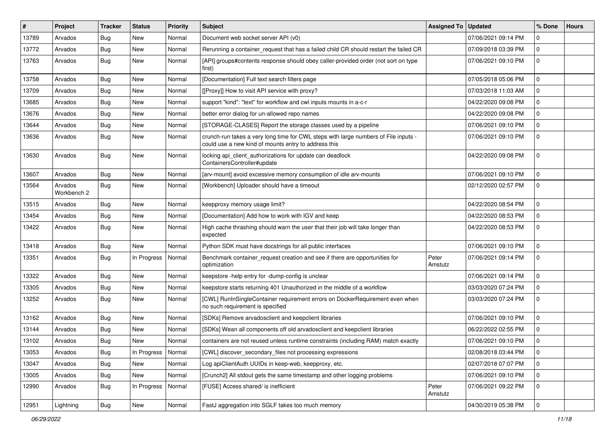| #     | Project                | <b>Tracker</b> | <b>Status</b>        | <b>Priority</b> | <b>Subject</b>                                                                                                                              | <b>Assigned To</b> | <b>Updated</b>      | % Done         | <b>Hours</b> |
|-------|------------------------|----------------|----------------------|-----------------|---------------------------------------------------------------------------------------------------------------------------------------------|--------------------|---------------------|----------------|--------------|
| 13789 | Arvados                | <b>Bug</b>     | <b>New</b>           | Normal          | Document web socket server API (v0)                                                                                                         |                    | 07/06/2021 09:14 PM | 0              |              |
| 13772 | Arvados                | Bug            | <b>New</b>           | Normal          | Rerunning a container_request that has a failed child CR should restart the failed CR                                                       |                    | 07/09/2018 03:39 PM | 0              |              |
| 13763 | Arvados                | <b>Bug</b>     | New                  | Normal          | [API] groups#contents response should obey caller-provided order (not sort on type<br>first)                                                |                    | 07/06/2021 09:10 PM | $\mathbf 0$    |              |
| 13758 | Arvados                | Bug            | <b>New</b>           | Normal          | [Documentation] Full text search filters page                                                                                               |                    | 07/05/2018 05:06 PM | $\mathbf 0$    |              |
| 13709 | Arvados                | <b>Bug</b>     | New                  | Normal          | [[Proxy]] How to visit API service with proxy?                                                                                              |                    | 07/03/2018 11:03 AM | 0              |              |
| 13685 | Arvados                | <b>Bug</b>     | <b>New</b>           | Normal          | support "kind": "text" for workflow and cwl inputs mounts in a-c-r                                                                          |                    | 04/22/2020 09:08 PM | 0              |              |
| 13676 | Arvados                | Bug            | New                  | Normal          | better error dialog for un-allowed repo names                                                                                               |                    | 04/22/2020 09:08 PM | 0              |              |
| 13644 | Arvados                | <b>Bug</b>     | <b>New</b>           | Normal          | [STORAGE-CLASES] Report the storage classes used by a pipeline                                                                              |                    | 07/06/2021 09:10 PM | 0              |              |
| 13636 | Arvados                | <b>Bug</b>     | <b>New</b>           | Normal          | crunch-run takes a very long time for CWL steps with large numbers of File inputs -<br>could use a new kind of mounts entry to address this |                    | 07/06/2021 09:10 PM | $\mathbf 0$    |              |
| 13630 | Arvados                | <b>Bug</b>     | New                  | Normal          | locking api_client_authorizations for update can deadlock<br>ContainersController#update                                                    |                    | 04/22/2020 09:08 PM | $\mathbf 0$    |              |
| 13607 | Arvados                | <b>Bug</b>     | New                  | Normal          | [arv-mount] avoid excessive memory consumption of idle arv-mounts                                                                           |                    | 07/06/2021 09:10 PM | 0              |              |
| 13564 | Arvados<br>Workbench 2 | <b>Bug</b>     | New                  | Normal          | [Workbench] Uploader should have a timeout                                                                                                  |                    | 02/12/2020 02:57 PM | $\mathbf 0$    |              |
| 13515 | Arvados                | <b>Bug</b>     | <b>New</b>           | Normal          | keepproxy memory usage limit?                                                                                                               |                    | 04/22/2020 08:54 PM | $\mathbf 0$    |              |
| 13454 | Arvados                | Bug            | <b>New</b>           | Normal          | [Documentation] Add how to work with IGV and keep                                                                                           |                    | 04/22/2020 08:53 PM | 0              |              |
| 13422 | Arvados                | <b>Bug</b>     | New                  | Normal          | High cache thrashing should warn the user that their job will take longer than<br>expected                                                  |                    | 04/22/2020 08:53 PM | $\mathbf 0$    |              |
| 13418 | Arvados                | <b>Bug</b>     | <b>New</b>           | Normal          | Python SDK must have docstrings for all public interfaces                                                                                   |                    | 07/06/2021 09:10 PM | $\mathbf 0$    |              |
| 13351 | Arvados                | <b>Bug</b>     | In Progress          | Normal          | Benchmark container request creation and see if there are opportunities for<br>optimization                                                 | Peter<br>Amstutz   | 07/06/2021 09:14 PM | 0              |              |
| 13322 | Arvados                | <b>Bug</b>     | New                  | Normal          | keepstore -help entry for -dump-config is unclear                                                                                           |                    | 07/06/2021 09:14 PM | $\mathbf 0$    |              |
| 13305 | Arvados                | <b>Bug</b>     | <b>New</b>           | Normal          | keepstore starts returning 401 Unauthorized in the middle of a workflow                                                                     |                    | 03/03/2020 07:24 PM | $\mathbf 0$    |              |
| 13252 | Arvados                | <b>Bug</b>     | New                  | Normal          | [CWL] RunInSingleContainer requirement errors on DockerRequirement even when<br>no such requirement is specified                            |                    | 03/03/2020 07:24 PM | $\mathbf 0$    |              |
| 13162 | Arvados                | <b>Bug</b>     | <b>New</b>           | Normal          | [SDKs] Remove arvadosclient and keepclient libraries                                                                                        |                    | 07/06/2021 09:10 PM | 0              |              |
| 13144 | Arvados                | <b>Bug</b>     | <b>New</b>           | Normal          | [SDKs] Wean all components off old arvadosclient and keepclient libraries                                                                   |                    | 06/22/2022 02:55 PM | 0              |              |
| 13102 | Arvados                | Bug            | New                  | Normal          | containers are not reused unless runtime constraints (including RAM) match exactly                                                          |                    | 07/06/2021 09:10 PM | 0              |              |
| 13053 | Arvados                | <b>Bug</b>     | In Progress   Normal |                 | [CWL] discover_secondary_files not processing expressions                                                                                   |                    | 02/08/2018 03:44 PM | 0              |              |
| 13047 | Arvados                | <b>Bug</b>     | New                  | Normal          | Log apiClientAuth UUIDs in keep-web, keepproxy, etc.                                                                                        |                    | 02/07/2018 07:07 PM | $\mathbf 0$    |              |
| 13005 | Arvados                | <b>Bug</b>     | New                  | Normal          | [Crunch2] All stdout gets the same timestamp and other logging problems                                                                     |                    | 07/06/2021 09:10 PM | $\mathbf 0$    |              |
| 12990 | Arvados                | <b>Bug</b>     | In Progress          | Normal          | [FUSE] Access shared/ is inefficient                                                                                                        | Peter<br>Amstutz   | 07/06/2021 09:22 PM | $\mathbf 0$    |              |
| 12951 | Lightning              | <b>Bug</b>     | New                  | Normal          | FastJ aggregation into SGLF takes too much memory                                                                                           |                    | 04/30/2019 05:38 PM | $\overline{0}$ |              |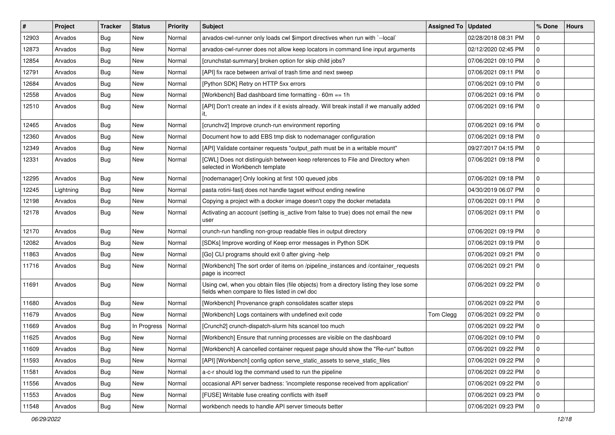| #     | Project   | Tracker    | <b>Status</b> | <b>Priority</b> | Subject                                                                                                                                   | Assigned To | <b>Updated</b>      | % Done          | <b>Hours</b> |
|-------|-----------|------------|---------------|-----------------|-------------------------------------------------------------------------------------------------------------------------------------------|-------------|---------------------|-----------------|--------------|
| 12903 | Arvados   | Bug        | New           | Normal          | arvados-cwl-runner only loads cwl \$import directives when run with `--local`                                                             |             | 02/28/2018 08:31 PM | 0               |              |
| 12873 | Arvados   | <b>Bug</b> | <b>New</b>    | Normal          | arvados-cwl-runner does not allow keep locators in command line input arguments                                                           |             | 02/12/2020 02:45 PM | $\mathbf 0$     |              |
| 12854 | Arvados   | <b>Bug</b> | New           | Normal          | [crunchstat-summary] broken option for skip child jobs?                                                                                   |             | 07/06/2021 09:10 PM | $\mathbf 0$     |              |
| 12791 | Arvados   | Bug        | New           | Normal          | [API] fix race between arrival of trash time and next sweep                                                                               |             | 07/06/2021 09:11 PM | $\mathbf 0$     |              |
| 12684 | Arvados   | <b>Bug</b> | New           | Normal          | [Python SDK] Retry on HTTP 5xx errors                                                                                                     |             | 07/06/2021 09:10 PM | $\mathbf 0$     |              |
| 12558 | Arvados   | <b>Bug</b> | New           | Normal          | [Workbench] Bad dashboard time formatting - 60m == 1h                                                                                     |             | 07/06/2021 09:16 PM | $\mathbf 0$     |              |
| 12510 | Arvados   | <b>Bug</b> | New           | Normal          | [API] Don't create an index if it exists already. Will break install if we manually added<br>it,                                          |             | 07/06/2021 09:16 PM | $\mathbf 0$     |              |
| 12465 | Arvados   | Bug        | New           | Normal          | [crunchv2] Improve crunch-run environment reporting                                                                                       |             | 07/06/2021 09:16 PM | $\mathbf 0$     |              |
| 12360 | Arvados   | Bug        | New           | Normal          | Document how to add EBS tmp disk to nodemanager configuration                                                                             |             | 07/06/2021 09:18 PM | $\mathbf 0$     |              |
| 12349 | Arvados   | <b>Bug</b> | New           | Normal          | [API] Validate container requests "output_path must be in a writable mount"                                                               |             | 09/27/2017 04:15 PM | $\mathbf 0$     |              |
| 12331 | Arvados   | Bug        | New           | Normal          | [CWL] Does not distinguish between keep references to File and Directory when<br>selected in Workbench template                           |             | 07/06/2021 09:18 PM | $\mathbf 0$     |              |
| 12295 | Arvados   | Bug        | New           | Normal          | [nodemanager] Only looking at first 100 queued jobs                                                                                       |             | 07/06/2021 09:18 PM | $\mathbf 0$     |              |
| 12245 | Lightning | <b>Bug</b> | New           | Normal          | pasta rotini-fasti does not handle tagset without ending newline                                                                          |             | 04/30/2019 06:07 PM | $\mathbf 0$     |              |
| 12198 | Arvados   | <b>Bug</b> | New           | Normal          | Copying a project with a docker image doesn't copy the docker metadata                                                                    |             | 07/06/2021 09:11 PM | $\mathbf 0$     |              |
| 12178 | Arvados   | <b>Bug</b> | New           | Normal          | Activating an account (setting is_active from false to true) does not email the new<br>user                                               |             | 07/06/2021 09:11 PM | $\mathbf 0$     |              |
| 12170 | Arvados   | <b>Bug</b> | New           | Normal          | crunch-run handling non-group readable files in output directory                                                                          |             | 07/06/2021 09:19 PM | $\mathbf 0$     |              |
| 12082 | Arvados   | <b>Bug</b> | New           | Normal          | [SDKs] Improve wording of Keep error messages in Python SDK                                                                               |             | 07/06/2021 09:19 PM | $\mathbf 0$     |              |
| 11863 | Arvados   | <b>Bug</b> | New           | Normal          | [Go] CLI programs should exit 0 after giving -help                                                                                        |             | 07/06/2021 09:21 PM | $\mathbf 0$     |              |
| 11716 | Arvados   | <b>Bug</b> | New           | Normal          | [Workbench] The sort order of items on /pipeline_instances and /container_requests<br>page is incorrect                                   |             | 07/06/2021 09:21 PM | $\mathbf 0$     |              |
| 11691 | Arvados   | <b>Bug</b> | New           | Normal          | Using cwl, when you obtain files (file objects) from a directory listing they lose some<br>fields when compare to files listed in cwl doc |             | 07/06/2021 09:22 PM | $\mathbf 0$     |              |
| 11680 | Arvados   | Bug        | New           | Normal          | [Workbench] Provenance graph consolidates scatter steps                                                                                   |             | 07/06/2021 09:22 PM | $\mathbf 0$     |              |
| 11679 | Arvados   | <b>Bug</b> | New           | Normal          | [Workbench] Logs containers with undefined exit code                                                                                      | Tom Clegg   | 07/06/2021 09:22 PM | $\mathbf 0$     |              |
| 11669 | Arvados   | <b>Bug</b> | In Progress   | Normal          | [Crunch2] crunch-dispatch-slurm hits scancel too much                                                                                     |             | 07/06/2021 09:22 PM | $\mathbf 0$     |              |
| 11625 | Arvados   | <b>Bug</b> | New           | Normal          | [Workbench] Ensure that running processes are visible on the dashboard                                                                    |             | 07/06/2021 09:10 PM | $\mathbf 0$     |              |
| 11609 | Arvados   | Bug        | New           | Normal          | [Workbench] A cancelled container request page should show the "Re-run" button                                                            |             | 07/06/2021 09:22 PM | $\vert 0 \vert$ |              |
| 11593 | Arvados   | Bug        | New           | Normal          | [API] [Workbench] config option serve_static_assets to serve_static_files                                                                 |             | 07/06/2021 09:22 PM | $\mathbf 0$     |              |
| 11581 | Arvados   | Bug        | New           | Normal          | a-c-r should log the command used to run the pipeline                                                                                     |             | 07/06/2021 09:22 PM | 0               |              |
| 11556 | Arvados   | <b>Bug</b> | New           | Normal          | occasional API server badness: 'incomplete response received from application'                                                            |             | 07/06/2021 09:22 PM | $\mathbf 0$     |              |
| 11553 | Arvados   | <b>Bug</b> | New           | Normal          | [FUSE] Writable fuse creating conflicts with itself                                                                                       |             | 07/06/2021 09:23 PM | 0               |              |
| 11548 | Arvados   | Bug        | New           | Normal          | workbench needs to handle API server timeouts better                                                                                      |             | 07/06/2021 09:23 PM | 0               |              |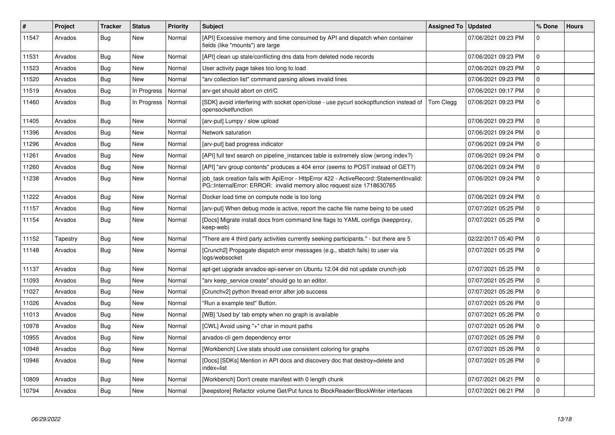| $\pmb{\#}$ | Project  | <b>Tracker</b> | <b>Status</b> | <b>Priority</b> | <b>Subject</b>                                                                                                                                                    | <b>Assigned To</b> | <b>Updated</b>      | % Done      | <b>Hours</b> |
|------------|----------|----------------|---------------|-----------------|-------------------------------------------------------------------------------------------------------------------------------------------------------------------|--------------------|---------------------|-------------|--------------|
| 11547      | Arvados  | Bug            | <b>New</b>    | Normal          | [API] Excessive memory and time consumed by API and dispatch when container<br>fields (like "mounts") are large                                                   |                    | 07/06/2021 09:23 PM | $\Omega$    |              |
| 11531      | Arvados  | Bug            | New           | Normal          | [API] clean up stale/conflicting dns data from deleted node records                                                                                               |                    | 07/06/2021 09:23 PM | $\Omega$    |              |
| 11523      | Arvados  | Bug            | New           | Normal          | User activity page takes too long to load                                                                                                                         |                    | 07/06/2021 09:23 PM | $\mathbf 0$ |              |
| 11520      | Arvados  | Bug            | <b>New</b>    | Normal          | "arv collection list" command parsing allows invalid lines                                                                                                        |                    | 07/06/2021 09:23 PM | $\mathbf 0$ |              |
| 11519      | Arvados  | Bug            | In Progress   | Normal          | arv-get should abort on ctrl/C                                                                                                                                    |                    | 07/06/2021 09:17 PM | $\Omega$    |              |
| 11460      | Arvados  | <b>Bug</b>     | In Progress   | Normal          | [SDK] avoid interfering with socket open/close - use pycurl sockoptfunction instead of<br>opensocketfunction                                                      | <b>Tom Clegg</b>   | 07/06/2021 09:23 PM | $\mathbf 0$ |              |
| 11405      | Arvados  | Bug            | <b>New</b>    | Normal          | [arv-put] Lumpy / slow upload                                                                                                                                     |                    | 07/06/2021 09:23 PM | $\Omega$    |              |
| 11396      | Arvados  | Bug            | <b>New</b>    | Normal          | Network saturation                                                                                                                                                |                    | 07/06/2021 09:24 PM | $\mathbf 0$ |              |
| 11296      | Arvados  | <b>Bug</b>     | <b>New</b>    | Normal          | [arv-put] bad progress indicator                                                                                                                                  |                    | 07/06/2021 09:24 PM | $\Omega$    |              |
| 11261      | Arvados  | Bug            | <b>New</b>    | Normal          | [API] full text search on pipeline instances table is extremely slow (wrong index?)                                                                               |                    | 07/06/2021 09:24 PM | $\mathbf 0$ |              |
| 11260      | Arvados  | Bug            | <b>New</b>    | Normal          | [API] "arv group contents" produces a 404 error (seems to POST instead of GET?)                                                                                   |                    | 07/06/2021 09:24 PM | $\Omega$    |              |
| 11238      | Arvados  | <b>Bug</b>     | New           | Normal          | job_task creation fails with ApiError - HttpError 422 - ActiveRecord::StatementInvalid:<br>PG::InternalError: ERROR: invalid memory alloc request size 1718630765 |                    | 07/06/2021 09:24 PM | $\mathbf 0$ |              |
| 11222      | Arvados  | Bug            | <b>New</b>    | Normal          | Docker load time on compute node is too long                                                                                                                      |                    | 07/06/2021 09:24 PM | $\Omega$    |              |
| 11157      | Arvados  | Bug            | <b>New</b>    | Normal          | [arv-put] When debug mode is active, report the cache file name being to be used                                                                                  |                    | 07/07/2021 05:25 PM | $\mathbf 0$ |              |
| 11154      | Arvados  | <b>Bug</b>     | New           | Normal          | [Docs] Migrate install docs from command line flags to YAML configs (keepproxy,<br>keep-web)                                                                      |                    | 07/07/2021 05:25 PM | $\Omega$    |              |
| 11152      | Tapestry | <b>Bug</b>     | New           | Normal          | "There are 4 third party activities currently seeking participants." - but there are 5                                                                            |                    | 02/22/2017 05:40 PM | $\mathbf 0$ |              |
| 11148      | Arvados  | Bug            | <b>New</b>    | Normal          | [Crunch2] Propagate dispatch error messages (e.g., sbatch fails) to user via<br>logs/websocket                                                                    |                    | 07/07/2021 05:25 PM | $\Omega$    |              |
| 11137      | Arvados  | Bug            | <b>New</b>    | Normal          | apt-get upgrade arvados-api-server on Ubuntu 12.04 did not update crunch-job                                                                                      |                    | 07/07/2021 05:25 PM | $\Omega$    |              |
| 11093      | Arvados  | <b>Bug</b>     | New           | Normal          | "arv keep_service create" should go to an editor.                                                                                                                 |                    | 07/07/2021 05:25 PM | $\Omega$    |              |
| 11027      | Arvados  | Bug            | <b>New</b>    | Normal          | [Crunchv2] python thread error after job success                                                                                                                  |                    | 07/07/2021 05:26 PM | $\mathbf 0$ |              |
| 11026      | Arvados  | <b>Bug</b>     | <b>New</b>    | Normal          | "Run a example test" Button.                                                                                                                                      |                    | 07/07/2021 05:26 PM | $\Omega$    |              |
| 11013      | Arvados  | Bug            | New           | Normal          | [WB] 'Used by' tab empty when no graph is available                                                                                                               |                    | 07/07/2021 05:26 PM | $\mathbf 0$ |              |
| 10978      | Arvados  | <b>Bug</b>     | New           | Normal          | [CWL] Avoid using "+" char in mount paths                                                                                                                         |                    | 07/07/2021 05:26 PM | $\mathbf 0$ |              |
| 10955      | Arvados  | <b>Bug</b>     | New           | Normal          | arvados-cli gem dependency error                                                                                                                                  |                    | 07/07/2021 05:26 PM | $\mathbf 0$ |              |
| 10948      | Arvados  | <b>Bug</b>     | New           | Normal          | [Workbench] Live stats should use consistent coloring for graphs                                                                                                  |                    | 07/07/2021 05:26 PM | $\mathbf 0$ |              |
| 10946      | Arvados  | Bug            | New           | Normal          | [Docs] [SDKs] Mention in API docs and discovery doc that destroy=delete and<br>index=list                                                                         |                    | 07/07/2021 05:26 PM | $\mathbf 0$ |              |
| 10809      | Arvados  | Bug            | New           | Normal          | [Workbench] Don't create manifest with 0 length chunk                                                                                                             |                    | 07/07/2021 06:21 PM | $\mathbf 0$ |              |
| 10794      | Arvados  | <b>Bug</b>     | <b>New</b>    | Normal          | [keepstore] Refactor volume Get/Put funcs to BlockReader/BlockWriter interfaces                                                                                   |                    | 07/07/2021 06:21 PM | $\Omega$    |              |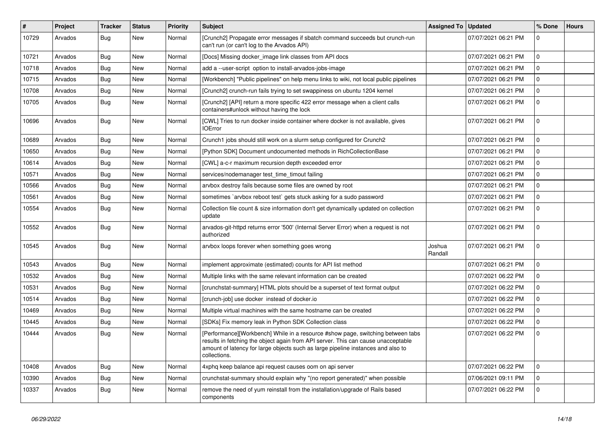| #     | Project | <b>Tracker</b> | <b>Status</b> | <b>Priority</b> | <b>Subject</b>                                                                                                                                                                                                                                                           | <b>Assigned To</b> | <b>Updated</b>      | % Done              | <b>Hours</b> |
|-------|---------|----------------|---------------|-----------------|--------------------------------------------------------------------------------------------------------------------------------------------------------------------------------------------------------------------------------------------------------------------------|--------------------|---------------------|---------------------|--------------|
| 10729 | Arvados | Bug            | New           | Normal          | [Crunch2] Propagate error messages if sbatch command succeeds but crunch-run<br>can't run (or can't log to the Arvados API)                                                                                                                                              |                    | 07/07/2021 06:21 PM | $\Omega$            |              |
| 10721 | Arvados | Bug            | <b>New</b>    | Normal          | [Docs] Missing docker image link classes from API docs                                                                                                                                                                                                                   |                    | 07/07/2021 06:21 PM | 0                   |              |
| 10718 | Arvados | Bug            | New           | Normal          | add a --user-script option to install-arvados-jobs-image                                                                                                                                                                                                                 |                    | 07/07/2021 06:21 PM | 0                   |              |
| 10715 | Arvados | Bug            | <b>New</b>    | Normal          | [Workbench] "Public pipelines" on help menu links to wiki, not local public pipelines                                                                                                                                                                                    |                    | 07/07/2021 06:21 PM | $\mathbf 0$         |              |
| 10708 | Arvados | <b>Bug</b>     | <b>New</b>    | Normal          | [Crunch2] crunch-run fails trying to set swappiness on ubuntu 1204 kernel                                                                                                                                                                                                |                    | 07/07/2021 06:21 PM | $\mathbf 0$         |              |
| 10705 | Arvados | <b>Bug</b>     | New           | Normal          | [Crunch2] [API] return a more specific 422 error message when a client calls<br>containers#unlock without having the lock                                                                                                                                                |                    | 07/07/2021 06:21 PM | $\Omega$            |              |
| 10696 | Arvados | <b>Bug</b>     | <b>New</b>    | Normal          | [CWL] Tries to run docker inside container where docker is not available, gives<br><b>IOError</b>                                                                                                                                                                        |                    | 07/07/2021 06:21 PM | $\Omega$            |              |
| 10689 | Arvados | Bug            | New           | Normal          | Crunch1 jobs should still work on a slurm setup configured for Crunch2                                                                                                                                                                                                   |                    | 07/07/2021 06:21 PM | 0                   |              |
| 10650 | Arvados | Bug            | New           | Normal          | [Python SDK] Document undocumented methods in RichCollectionBase                                                                                                                                                                                                         |                    | 07/07/2021 06:21 PM | $\mathbf 0$         |              |
| 10614 | Arvados | Bug            | New           | Normal          | [CWL] a-c-r maximum recursion depth exceeded error                                                                                                                                                                                                                       |                    | 07/07/2021 06:21 PM | $\mathbf 0$         |              |
| 10571 | Arvados | Bug            | New           | Normal          | services/nodemanager test time timout failing                                                                                                                                                                                                                            |                    | 07/07/2021 06:21 PM | 0                   |              |
| 10566 | Arvados | Bug            | New           | Normal          | arvbox destroy fails because some files are owned by root                                                                                                                                                                                                                |                    | 07/07/2021 06:21 PM | $\mathbf 0$         |              |
| 10561 | Arvados | <b>Bug</b>     | New           | Normal          | sometimes `arvbox reboot test` gets stuck asking for a sudo password                                                                                                                                                                                                     |                    | 07/07/2021 06:21 PM | $\mathsf{O}\xspace$ |              |
| 10554 | Arvados | <b>Bug</b>     | New           | Normal          | Collection file count & size information don't get dynamically updated on collection<br>update                                                                                                                                                                           |                    | 07/07/2021 06:21 PM | $\Omega$            |              |
| 10552 | Arvados | <b>Bug</b>     | <b>New</b>    | Normal          | arvados-git-httpd returns error '500' (Internal Server Error) when a request is not<br>authorized                                                                                                                                                                        |                    | 07/07/2021 06:21 PM | $\Omega$            |              |
| 10545 | Arvados | Bug            | New           | Normal          | arvbox loops forever when something goes wrong                                                                                                                                                                                                                           | Joshua<br>Randall  | 07/07/2021 06:21 PM | $\mathbf 0$         |              |
| 10543 | Arvados | Bug            | New           | Normal          | implement approximate (estimated) counts for API list method                                                                                                                                                                                                             |                    | 07/07/2021 06:21 PM | $\mathbf 0$         |              |
| 10532 | Arvados | <b>Bug</b>     | <b>New</b>    | Normal          | Multiple links with the same relevant information can be created                                                                                                                                                                                                         |                    | 07/07/2021 06:22 PM | $\Omega$            |              |
| 10531 | Arvados | <b>Bug</b>     | New           | Normal          | [crunchstat-summary] HTML plots should be a superset of text format output                                                                                                                                                                                               |                    | 07/07/2021 06:22 PM | 0                   |              |
| 10514 | Arvados | <b>Bug</b>     | <b>New</b>    | Normal          | [crunch-job] use docker instead of docker.io                                                                                                                                                                                                                             |                    | 07/07/2021 06:22 PM | $\mathbf 0$         |              |
| 10469 | Arvados | Bug            | New           | Normal          | Multiple virtual machines with the same hostname can be created                                                                                                                                                                                                          |                    | 07/07/2021 06:22 PM | $\Omega$            |              |
| 10445 | Arvados | Bug            | New           | Normal          | [SDKs] Fix memory leak in Python SDK Collection class                                                                                                                                                                                                                    |                    | 07/07/2021 06:22 PM | $\Omega$            |              |
| 10444 | Arvados | <b>Bug</b>     | New           | Normal          | [Performance][Workbench] While in a resource #show page, switching between tabs<br>results in fetching the object again from API server. This can cause unacceptable<br>amount of latency for large objects such as large pipeline instances and also to<br>collections. |                    | 07/07/2021 06:22 PM | $\Omega$            |              |
| 10408 | Arvados | <b>Bug</b>     | <b>New</b>    | Normal          | 4xphq keep balance api request causes oom on api server                                                                                                                                                                                                                  |                    | 07/07/2021 06:22 PM | $\Omega$            |              |
| 10390 | Arvados | <b>Bug</b>     | New           | Normal          | crunchstat-summary should explain why "(no report generated)" when possible                                                                                                                                                                                              |                    | 07/06/2021 09:11 PM | 0                   |              |
| 10337 | Arvados | <b>Bug</b>     | New           | Normal          | remove the need of yum reinstall from the installation/upgrade of Rails based<br>components                                                                                                                                                                              |                    | 07/07/2021 06:22 PM | $\Omega$            |              |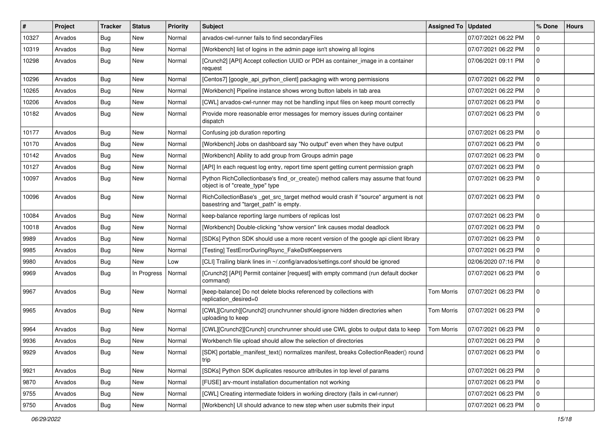| #     | Project | <b>Tracker</b> | <b>Status</b> | <b>Priority</b> | <b>Subject</b>                                                                                                                | Assigned To   Updated |                     | % Done      | <b>Hours</b> |
|-------|---------|----------------|---------------|-----------------|-------------------------------------------------------------------------------------------------------------------------------|-----------------------|---------------------|-------------|--------------|
| 10327 | Arvados | <b>Bug</b>     | New           | Normal          | arvados-cwl-runner fails to find secondaryFiles                                                                               |                       | 07/07/2021 06:22 PM | $\mathbf 0$ |              |
| 10319 | Arvados | <b>Bug</b>     | <b>New</b>    | Normal          | [Workbench] list of logins in the admin page isn't showing all logins                                                         |                       | 07/07/2021 06:22 PM | 0           |              |
| 10298 | Arvados | Bug            | New           | Normal          | [Crunch2] [API] Accept collection UUID or PDH as container_image in a container<br>request                                    |                       | 07/06/2021 09:11 PM | $\mathbf 0$ |              |
| 10296 | Arvados | Bug            | <b>New</b>    | Normal          | [Centos7] [google_api_python_client] packaging with wrong permissions                                                         |                       | 07/07/2021 06:22 PM | 0           |              |
| 10265 | Arvados | Bug            | New           | Normal          | [Workbench] Pipeline instance shows wrong button labels in tab area                                                           |                       | 07/07/2021 06:22 PM | 0           |              |
| 10206 | Arvados | <b>Bug</b>     | <b>New</b>    | Normal          | [CWL] arvados-cwl-runner may not be handling input files on keep mount correctly                                              |                       | 07/07/2021 06:23 PM | $\mathbf 0$ |              |
| 10182 | Arvados | Bug            | New           | Normal          | Provide more reasonable error messages for memory issues during container<br>dispatch                                         |                       | 07/07/2021 06:23 PM | 0           |              |
| 10177 | Arvados | Bug            | <b>New</b>    | Normal          | Confusing job duration reporting                                                                                              |                       | 07/07/2021 06:23 PM | $\mathbf 0$ |              |
| 10170 | Arvados | <b>Bug</b>     | New           | Normal          | [Workbench] Jobs on dashboard say "No output" even when they have output                                                      |                       | 07/07/2021 06:23 PM | $\mathbf 0$ |              |
| 10142 | Arvados | <b>Bug</b>     | <b>New</b>    | Normal          | [Workbench] Ability to add group from Groups admin page                                                                       |                       | 07/07/2021 06:23 PM | $\mathbf 0$ |              |
| 10127 | Arvados | <b>Bug</b>     | New           | Normal          | [API] In each request log entry, report time spent getting current permission graph                                           |                       | 07/07/2021 06:23 PM | $\mathbf 0$ |              |
| 10097 | Arvados | Bug            | New           | Normal          | Python RichCollectionbase's find_or_create() method callers may assume that found<br>object is of "create_type" type          |                       | 07/07/2021 06:23 PM | $\mathbf 0$ |              |
| 10096 | Arvados | Bug            | New           | Normal          | RichCollectionBase's _get_src_target method would crash if "source" argument is not<br>basestring and "target_path" is empty. |                       | 07/07/2021 06:23 PM | $\mathbf 0$ |              |
| 10084 | Arvados | Bug            | <b>New</b>    | Normal          | keep-balance reporting large numbers of replicas lost                                                                         |                       | 07/07/2021 06:23 PM | $\mathbf 0$ |              |
| 10018 | Arvados | <b>Bug</b>     | New           | Normal          | [Workbench] Double-clicking "show version" link causes modal deadlock                                                         |                       | 07/07/2021 06:23 PM | 0           |              |
| 9989  | Arvados | <b>Bug</b>     | <b>New</b>    | Normal          | [SDKs] Python SDK should use a more recent version of the google api client library                                           |                       | 07/07/2021 06:23 PM | $\mathbf 0$ |              |
| 9985  | Arvados | <b>Bug</b>     | New           | Normal          | [Testing] TestErrorDuringRsync_FakeDstKeepservers                                                                             |                       | 07/07/2021 06:23 PM | $\mathbf 0$ |              |
| 9980  | Arvados | <b>Bug</b>     | New           | Low             | [CLI] Trailing blank lines in ~/.config/arvados/settings.conf should be ignored                                               |                       | 02/06/2020 07:16 PM | 0           |              |
| 9969  | Arvados | Bug            | In Progress   | Normal          | [Crunch2] [API] Permit container [request] with empty command (run default docker<br>command)                                 |                       | 07/07/2021 06:23 PM | $\mathbf 0$ |              |
| 9967  | Arvados | Bug            | New           | Normal          | [keep-balance] Do not delete blocks referenced by collections with<br>replication desired=0                                   | <b>Tom Morris</b>     | 07/07/2021 06:23 PM | $\mathbf 0$ |              |
| 9965  | Arvados | Bug            | New           | Normal          | [CWL][Crunch][Crunch2] crunchrunner should ignore hidden directories when<br>uploading to keep                                | <b>Tom Morris</b>     | 07/07/2021 06:23 PM | $\mathbf 0$ |              |
| 9964  | Arvados | Bug            | <b>New</b>    | Normal          | [CWL][Crunch2][Crunch] crunchrunner should use CWL globs to output data to keep                                               | <b>Tom Morris</b>     | 07/07/2021 06:23 PM | 0           |              |
| 9936  | Arvados | <b>Bug</b>     | New           | Normal          | Workbench file upload should allow the selection of directories                                                               |                       | 07/07/2021 06:23 PM | 0           |              |
| 9929  | Arvados | <b>Bug</b>     | New           | Normal          | [SDK] portable_manifest_text() normalizes manifest, breaks CollectionReader() round<br>trip                                   |                       | 07/07/2021 06:23 PM | 0           |              |
| 9921  | Arvados | Bug            | New           | Normal          | [SDKs] Python SDK duplicates resource attributes in top level of params                                                       |                       | 07/07/2021 06:23 PM | $\mathbf 0$ |              |
| 9870  | Arvados | <b>Bug</b>     | New           | Normal          | [FUSE] arv-mount installation documentation not working                                                                       |                       | 07/07/2021 06:23 PM | $\mathbf 0$ |              |
| 9755  | Arvados | <b>Bug</b>     | New           | Normal          | [CWL] Creating intermediate folders in working directory (fails in cwl-runner)                                                |                       | 07/07/2021 06:23 PM | 0           |              |
| 9750  | Arvados | Bug            | New           | Normal          | [Workbench] UI should advance to new step when user submits their input                                                       |                       | 07/07/2021 06:23 PM | $\mathbf 0$ |              |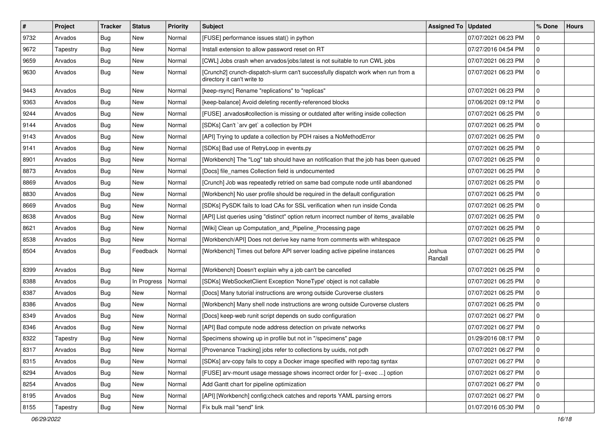| $\vert$ # | Project  | <b>Tracker</b> | <b>Status</b> | <b>Priority</b> | <b>Subject</b>                                                                                                  | Assigned To   Updated |                     | % Done         | <b>Hours</b> |
|-----------|----------|----------------|---------------|-----------------|-----------------------------------------------------------------------------------------------------------------|-----------------------|---------------------|----------------|--------------|
| 9732      | Arvados  | Bug            | <b>New</b>    | Normal          | [FUSE] performance issues stat() in python                                                                      |                       | 07/07/2021 06:23 PM | $\mathbf 0$    |              |
| 9672      | Tapestry | <b>Bug</b>     | <b>New</b>    | Normal          | Install extension to allow password reset on RT                                                                 |                       | 07/27/2016 04:54 PM | $\mathbf 0$    |              |
| 9659      | Arvados  | <b>Bug</b>     | New           | Normal          | [CWL] Jobs crash when arvados/jobs:latest is not suitable to run CWL jobs                                       |                       | 07/07/2021 06:23 PM | $\mathbf 0$    |              |
| 9630      | Arvados  | Bug            | New           | Normal          | [Crunch2] crunch-dispatch-slurm can't successfully dispatch work when run from a<br>directory it can't write to |                       | 07/07/2021 06:23 PM | $\mathbf 0$    |              |
| 9443      | Arvados  | Bug            | <b>New</b>    | Normal          | [keep-rsync] Rename "replications" to "replicas"                                                                |                       | 07/07/2021 06:23 PM | $\mathbf 0$    |              |
| 9363      | Arvados  | Bug            | New           | Normal          | [keep-balance] Avoid deleting recently-referenced blocks                                                        |                       | 07/06/2021 09:12 PM | $\mathbf 0$    |              |
| 9244      | Arvados  | Bug            | New           | Normal          | [FUSE] .arvados#collection is missing or outdated after writing inside collection                               |                       | 07/07/2021 06:25 PM | $\mathbf 0$    |              |
| 9144      | Arvados  | Bug            | New           | Normal          | [SDKs] Can't `arv get` a collection by PDH                                                                      |                       | 07/07/2021 06:25 PM | $\mathbf 0$    |              |
| 9143      | Arvados  | <b>Bug</b>     | <b>New</b>    | Normal          | [API] Trying to update a collection by PDH raises a NoMethodError                                               |                       | 07/07/2021 06:25 PM | $\mathbf 0$    |              |
| 9141      | Arvados  | Bug            | New           | Normal          | [SDKs] Bad use of RetryLoop in events.py                                                                        |                       | 07/07/2021 06:25 PM | $\mathbf 0$    |              |
| 8901      | Arvados  | <b>Bug</b>     | New           | Normal          | [Workbench] The "Log" tab should have an notification that the job has been queued                              |                       | 07/07/2021 06:25 PM | $\mathbf 0$    |              |
| 8873      | Arvados  | <b>Bug</b>     | New           | Normal          | [Docs] file names Collection field is undocumented                                                              |                       | 07/07/2021 06:25 PM | $\mathbf 0$    |              |
| 8869      | Arvados  | Bug            | New           | Normal          | [Crunch] Job was repeatedly retried on same bad compute node until abandoned                                    |                       | 07/07/2021 06:25 PM | 0              |              |
| 8830      | Arvados  | <b>Bug</b>     | <b>New</b>    | Normal          | [Workbench] No user profile should be required in the default configuration                                     |                       | 07/07/2021 06:25 PM | $\mathbf 0$    |              |
| 8669      | Arvados  | Bug            | New           | Normal          | [SDKs] PySDK fails to load CAs for SSL verification when run inside Conda                                       |                       | 07/07/2021 06:25 PM | 0              |              |
| 8638      | Arvados  | Bug            | New           | Normal          | [API] List queries using "distinct" option return incorrect number of items_available                           |                       | 07/07/2021 06:25 PM | $\mathbf 0$    |              |
| 8621      | Arvados  | Bug            | <b>New</b>    | Normal          | [Wiki] Clean up Computation_and_Pipeline_Processing page                                                        |                       | 07/07/2021 06:25 PM | $\mathbf 0$    |              |
| 8538      | Arvados  | <b>Bug</b>     | New           | Normal          | [Workbench/API] Does not derive key name from comments with whitespace                                          |                       | 07/07/2021 06:25 PM | $\mathbf 0$    |              |
| 8504      | Arvados  | Bug            | Feedback      | Normal          | [Workbench] Times out before API server loading active pipeline instances                                       | Joshua<br>Randall     | 07/07/2021 06:25 PM | $\mathbf 0$    |              |
| 8399      | Arvados  | Bug            | <b>New</b>    | Normal          | [Workbench] Doesn't explain why a job can't be cancelled                                                        |                       | 07/07/2021 06:25 PM | $\mathbf 0$    |              |
| 8388      | Arvados  | Bug            | In Progress   | Normal          | [SDKs] WebSocketClient Exception 'NoneType' object is not callable                                              |                       | 07/07/2021 06:25 PM | $\mathbf 0$    |              |
| 8387      | Arvados  | <b>Bug</b>     | New           | Normal          | [Docs] Many tutorial instructions are wrong outside Curoverse clusters                                          |                       | 07/07/2021 06:25 PM | $\mathbf 0$    |              |
| 8386      | Arvados  | <b>Bug</b>     | New           | Normal          | [Workbench] Many shell node instructions are wrong outside Curoverse clusters                                   |                       | 07/07/2021 06:25 PM | $\mathbf 0$    |              |
| 8349      | Arvados  | <b>Bug</b>     | <b>New</b>    | Normal          | [Docs] keep-web runit script depends on sudo configuration                                                      |                       | 07/07/2021 06:27 PM | 0              |              |
| 8346      | Arvados  | <b>Bug</b>     | New           | Normal          | [API] Bad compute node address detection on private networks                                                    |                       | 07/07/2021 06:27 PM | $\mathbf 0$    |              |
| 8322      | Tapestry | Bug            | <b>New</b>    | Normal          | Specimens showing up in profile but not in "/specimens" page                                                    |                       | 01/29/2016 08:17 PM | $\mathbf 0$    |              |
| 8317      | Arvados  | Bug            | New           | Normal          | [Provenance Tracking] jobs refer to collections by uuids, not pdh                                               |                       | 07/07/2021 06:27 PM | $ 0\rangle$    |              |
| 8315      | Arvados  | Bug            | <b>New</b>    | Normal          | [SDKs] arv-copy fails to copy a Docker image specified with repo:tag syntax                                     |                       | 07/07/2021 06:27 PM | $\mathbf 0$    |              |
| 8294      | Arvados  | <b>Bug</b>     | <b>New</b>    | Normal          | [FUSE] arv-mount usage message shows incorrect order for [--exec ] option                                       |                       | 07/07/2021 06:27 PM | $\mathbf 0$    |              |
| 8254      | Arvados  | <b>Bug</b>     | New           | Normal          | Add Gantt chart for pipeline optimization                                                                       |                       | 07/07/2021 06:27 PM | $\mathbf 0$    |              |
| 8195      | Arvados  | Bug            | New           | Normal          | [API] [Workbench] config:check catches and reports YAML parsing errors                                          |                       | 07/07/2021 06:27 PM | 0              |              |
| 8155      | Tapestry | <b>Bug</b>     | New           | Normal          | Fix bulk mail "send" link                                                                                       |                       | 01/07/2016 05:30 PM | $\overline{0}$ |              |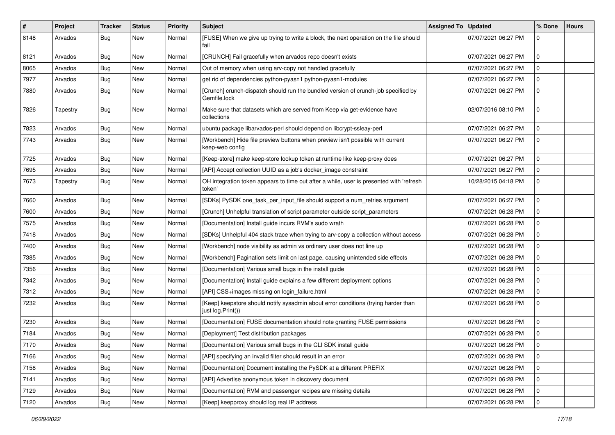| #    | Project  | <b>Tracker</b> | <b>Status</b> | <b>Priority</b> | Subject                                                                                                 | <b>Assigned To</b> | <b>Updated</b>      | % Done       | <b>Hours</b> |
|------|----------|----------------|---------------|-----------------|---------------------------------------------------------------------------------------------------------|--------------------|---------------------|--------------|--------------|
| 8148 | Arvados  | <b>Bug</b>     | New           | Normal          | [FUSE] When we give up trying to write a block, the next operation on the file should<br>fail           |                    | 07/07/2021 06:27 PM | $\mathbf 0$  |              |
| 8121 | Arvados  | <b>Bug</b>     | New           | Normal          | [CRUNCH] Fail gracefully when arvados repo doesn't exists                                               |                    | 07/07/2021 06:27 PM | $\mathbf 0$  |              |
| 8065 | Arvados  | <b>Bug</b>     | New           | Normal          | Out of memory when using arv-copy not handled gracefully                                                |                    | 07/07/2021 06:27 PM | $\mathbf 0$  |              |
| 7977 | Arvados  | <b>Bug</b>     | New           | Normal          | get rid of dependencies python-pyasn1 python-pyasn1-modules                                             |                    | 07/07/2021 06:27 PM | 0            |              |
| 7880 | Arvados  | <b>Bug</b>     | New           | Normal          | [Crunch] crunch-dispatch should run the bundled version of crunch-job specified by<br>Gemfile.lock      |                    | 07/07/2021 06:27 PM | 0            |              |
| 7826 | Tapestry | <b>Bug</b>     | New           | Normal          | Make sure that datasets which are served from Keep via get-evidence have<br>collections                 |                    | 02/07/2016 08:10 PM | 0            |              |
| 7823 | Arvados  | <b>Bug</b>     | <b>New</b>    | Normal          | ubuntu package libarvados-perl should depend on libcrypt-ssleay-perl                                    |                    | 07/07/2021 06:27 PM | $\mathbf{0}$ |              |
| 7743 | Arvados  | <b>Bug</b>     | New           | Normal          | [Workbench] Hide file preview buttons when preview isn't possible with current<br>keep-web config       |                    | 07/07/2021 06:27 PM | 0            |              |
| 7725 | Arvados  | <b>Bug</b>     | <b>New</b>    | Normal          | [Keep-store] make keep-store lookup token at runtime like keep-proxy does                               |                    | 07/07/2021 06:27 PM | 0            |              |
| 7695 | Arvados  | <b>Bug</b>     | New           | Normal          | [API] Accept collection UUID as a job's docker_image constraint                                         |                    | 07/07/2021 06:27 PM | 0            |              |
| 7673 | Tapestry | <b>Bug</b>     | New           | Normal          | OH integration token appears to time out after a while, user is presented with 'refresh<br>token'       |                    | 10/28/2015 04:18 PM | $\mathbf 0$  |              |
| 7660 | Arvados  | <b>Bug</b>     | New           | Normal          | [SDKs] PySDK one_task_per_input_file should support a num_retries argument                              |                    | 07/07/2021 06:27 PM | 0            |              |
| 7600 | Arvados  | <b>Bug</b>     | <b>New</b>    | Normal          | [Crunch] Unhelpful translation of script parameter outside script_parameters                            |                    | 07/07/2021 06:28 PM | $\mathbf 0$  |              |
| 7575 | Arvados  | <b>Bug</b>     | New           | Normal          | [Documentation] Install guide incurs RVM's sudo wrath                                                   |                    | 07/07/2021 06:28 PM | 0            |              |
| 7418 | Arvados  | <b>Bug</b>     | New           | Normal          | [SDKs] Unhelpful 404 stack trace when trying to arv-copy a collection without access                    |                    | 07/07/2021 06:28 PM | $\mathbf 0$  |              |
| 7400 | Arvados  | <b>Bug</b>     | New           | Normal          | [Workbench] node visibility as admin vs ordinary user does not line up                                  |                    | 07/07/2021 06:28 PM | 0            |              |
| 7385 | Arvados  | <b>Bug</b>     | New           | Normal          | [Workbench] Pagination sets limit on last page, causing unintended side effects                         |                    | 07/07/2021 06:28 PM | 0            |              |
| 7356 | Arvados  | <b>Bug</b>     | New           | Normal          | [Documentation] Various small bugs in the install guide                                                 |                    | 07/07/2021 06:28 PM | $\mathbf 0$  |              |
| 7342 | Arvados  | <b>Bug</b>     | New           | Normal          | [Documentation] Install guide explains a few different deployment options                               |                    | 07/07/2021 06:28 PM | 0            |              |
| 7312 | Arvados  | <b>Bug</b>     | New           | Normal          | [API] CSS+images missing on login_failure.html                                                          |                    | 07/07/2021 06:28 PM | $\mathbf 0$  |              |
| 7232 | Arvados  | <b>Bug</b>     | New           | Normal          | [Keep] keepstore should notify sysadmin about error conditions (trying harder than<br>just log.Print()) |                    | 07/07/2021 06:28 PM | $\mathbf 0$  |              |
| 7230 | Arvados  | <b>Bug</b>     | New           | Normal          | [Documentation] FUSE documentation should note granting FUSE permissions                                |                    | 07/07/2021 06:28 PM | $\mathbf 0$  |              |
| 7184 | Arvados  | <b>Bug</b>     | <b>New</b>    | Normal          | [Deployment] Test distribution packages                                                                 |                    | 07/07/2021 06:28 PM | 0            |              |
| 7170 | Arvados  | Bug            | New           | Normal          | [Documentation] Various small bugs in the CLI SDK install guide                                         |                    | 07/07/2021 06:28 PM | $\mathbf 0$  |              |
| 7166 | Arvados  | <b>Bug</b>     | New           | Normal          | [API] specifying an invalid filter should result in an error                                            |                    | 07/07/2021 06:28 PM | $\mathbf 0$  |              |
| 7158 | Arvados  | <b>Bug</b>     | New           | Normal          | [Documentation] Document installing the PySDK at a different PREFIX                                     |                    | 07/07/2021 06:28 PM | $\mathbf 0$  |              |
| 7141 | Arvados  | Bug            | New           | Normal          | [API] Advertise anonymous token in discovery document                                                   |                    | 07/07/2021 06:28 PM | 0            |              |
| 7129 | Arvados  | <b>Bug</b>     | New           | Normal          | [Documentation] RVM and passenger recipes are missing details                                           |                    | 07/07/2021 06:28 PM | 0            |              |
| 7120 | Arvados  | Bug            | New           | Normal          | [Keep] keepproxy should log real IP address                                                             |                    | 07/07/2021 06:28 PM | $\mathbf 0$  |              |